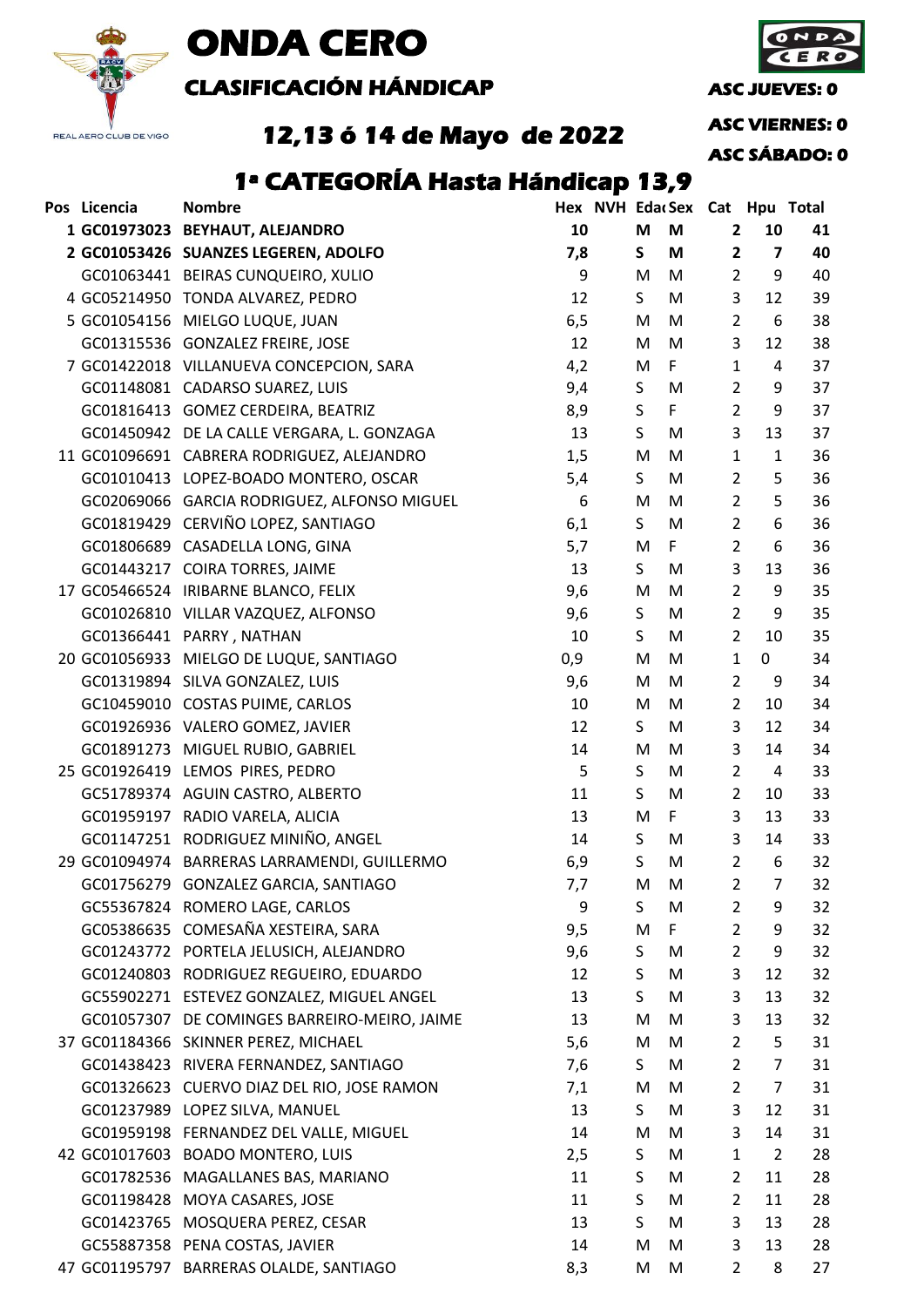

# **ONDA CERO**

**CLASIFICACIÓN HÁNDICAP ASC JUEVES: 0** 

**ASC VIERNES: 0**

**12,13 ó 14 de Mayo de 2022**

**ASC SÁBADO: 0**

## **1ª CATEGORÍA Hasta Hándicap 13,9**

| 10<br>M<br>M<br>$\overline{2}$<br>10<br>1 GC01973023 BEYHAUT, ALEJANDRO<br>41<br>2 GC01053426 SUANZES LEGEREN, ADOLFO<br>7,8<br>M<br>$\overline{\mathbf{z}}$<br>S<br>$\overline{\mathbf{c}}$<br>40<br>GC01063441 BEIRAS CUNQUEIRO, XULIO<br>9<br>$\overline{2}$<br>9<br>40<br>M<br>M<br>4 GC05214950 TONDA ALVAREZ, PEDRO<br>12<br>S.<br>M<br>3<br>39<br>12<br>5 GC01054156 MIELGO LUQUE, JUAN<br>6,5<br>$\overline{2}$<br>38<br>M<br>M<br>6<br>38<br>12<br>3<br>GC01315536 GONZALEZ FREIRE, JOSE<br>M<br>12<br>M<br>37<br>7 GC01422018 VILLANUEVA CONCEPCION, SARA<br>4,2<br>F<br>$\mathbf{1}$<br>M<br>4<br>$\overline{2}$<br>GC01148081 CADARSO SUAREZ, LUIS<br>9,4<br>37<br>S<br>M<br>9<br>9<br>S<br>$\mathsf F$<br>$\overline{2}$<br>GC01816413 GOMEZ CERDEIRA, BEATRIZ<br>8,9<br>37<br>3<br>GC01450942 DE LA CALLE VERGARA, L. GONZAGA<br>13<br>S<br>13<br>37<br>M<br>11 GC01096691 CABRERA RODRIGUEZ, ALEJANDRO<br>$\mathbf{1}$<br>36<br>1,5<br>M<br>M<br>$\mathbf{1}$<br>GC01010413 LOPEZ-BOADO MONTERO, OSCAR<br>S<br>$\overline{2}$<br>5<br>36<br>5,4<br>M<br>$\overline{2}$<br>5<br>GC02069066 GARCIA RODRIGUEZ, ALFONSO MIGUEL<br>6<br>36<br>M<br>M<br>GC01819429 CERVIÑO LOPEZ, SANTIAGO<br>6,1<br>S<br>$\overline{2}$<br>6<br>36<br>M<br>5,7<br>$\overline{2}$<br>36<br>GC01806689 CASADELLA LONG, GINA<br>F<br>6<br>M<br>3<br>GC01443217 COIRA TORRES, JAIME<br>S<br>13<br>36<br>13<br>M<br>$\overline{2}$<br>17 GC05466524 IRIBARNE BLANCO, FELIX<br>9,6<br>9<br>35<br>M<br>M<br>9<br>9,6<br>S<br>$\overline{2}$<br>GC01026810 VILLAR VAZQUEZ, ALFONSO<br>M<br>35<br>$\overline{2}$<br>35<br>GC01366441 PARRY, NATHAN<br>S<br>10<br>10<br>M<br>0,9<br>$\mathbf{1}$<br>20 GC01056933 MIELGO DE LUQUE, SANTIAGO<br>$\overline{0}$<br>34<br>M<br>M<br>$\overline{2}$<br>GC01319894 SILVA GONZALEZ, LUIS<br>9,6<br>M<br>M<br>9<br>34<br>GC10459010 COSTAS PUIME, CARLOS<br>10<br>M<br>$\overline{2}$<br>34<br>M<br>10<br>3<br>GC01926936 VALERO GOMEZ, JAVIER<br>S<br>12<br>M<br>12<br>34<br>3<br>34<br>GC01891273 MIGUEL RUBIO, GABRIEL<br>14<br>M<br>M<br>14<br>5<br>$\overline{2}$<br>33<br>25 GC01926419 LEMOS PIRES, PEDRO<br>S<br>$\overline{4}$<br>M<br>S<br>GC51789374 AGUIN CASTRO, ALBERTO<br>11<br>$\overline{2}$<br>33<br>M<br>10<br>3<br>GC01959197 RADIO VARELA, ALICIA<br>$\mathsf{F}$<br>33<br>13<br>M<br>13<br>GC01147251 RODRIGUEZ MINIÑO, ANGEL<br>3<br>S<br>33<br>14<br>M<br>14<br>6,9<br>S<br>$\overline{2}$<br>32<br>29 GC01094974 BARRERAS LARRAMENDI, GUILLERMO<br>M<br>6<br>GC01756279 GONZALEZ GARCIA, SANTIAGO<br>7,7<br>2<br>$\overline{7}$<br>32<br>M<br>M<br>GC55367824 ROMERO LAGE, CARLOS<br>9<br>S<br>32<br>M<br>$\overline{2}$<br>9<br>GC05386635 COMESAÑA XESTEIRA, SARA<br>$\overline{2}$<br>$\mathsf{F}$<br>9<br>32<br>9,5<br>M<br>GC01243772 PORTELA JELUSICH, ALEJANDRO<br>$\overline{2}$<br>9<br>32<br>9,6<br>S<br>M<br>GC01240803 RODRIGUEZ REGUEIRO, EDUARDO<br>S<br>M<br>3<br>32<br>12<br>12<br>GC55902271 ESTEVEZ GONZALEZ, MIGUEL ANGEL<br>S<br>3<br>13<br>M<br>13<br>32<br>3<br>32<br>GC01057307 DE COMINGES BARREIRO-MEIRO, JAIME<br>13<br>M<br>M<br>13<br>5,6<br>$\overline{2}$<br>37 GC01184366 SKINNER PEREZ, MICHAEL<br>M<br>M<br>5<br>31<br>GC01438423 RIVERA FERNANDEZ, SANTIAGO<br>$\overline{2}$<br>31<br>7,6<br>S<br>M<br>$\overline{7}$<br>$\overline{2}$<br>GC01326623 CUERVO DIAZ DEL RIO, JOSE RAMON<br>7,1<br>M<br>$\overline{7}$<br>31<br>M<br>GC01237989 LOPEZ SILVA, MANUEL<br>S<br>3<br>M<br>12<br>31<br>13<br>GC01959198 FERNANDEZ DEL VALLE, MIGUEL<br>3<br>31<br>14<br>M<br>M<br>14<br>S<br>$\overline{2}$<br>28<br>42 GC01017603 BOADO MONTERO, LUIS<br>2,5<br>M<br>$\mathbf{1}$<br>S<br>28<br>GC01782536 MAGALLANES BAS, MARIANO<br>11<br>M<br>$\overline{2}$<br>11<br>S<br>GC01198428 MOYA CASARES, JOSE<br>$\overline{2}$<br>28<br>11<br>M<br>11<br>GC01423765 MOSQUERA PEREZ, CESAR<br>S<br>3<br>28<br>13<br>M<br>13<br>3<br>28<br>GC55887358 PENA COSTAS, JAVIER<br>14<br>M<br>M<br>13<br>47 GC01195797 BARRERAS OLALDE, SANTIAGO<br>$\overline{2}$<br>8,3 | Pos Licencia | <b>Nombre</b> |  |   |   | Hex NVH EdacSex Cat Hpu Total |   |    |
|-------------------------------------------------------------------------------------------------------------------------------------------------------------------------------------------------------------------------------------------------------------------------------------------------------------------------------------------------------------------------------------------------------------------------------------------------------------------------------------------------------------------------------------------------------------------------------------------------------------------------------------------------------------------------------------------------------------------------------------------------------------------------------------------------------------------------------------------------------------------------------------------------------------------------------------------------------------------------------------------------------------------------------------------------------------------------------------------------------------------------------------------------------------------------------------------------------------------------------------------------------------------------------------------------------------------------------------------------------------------------------------------------------------------------------------------------------------------------------------------------------------------------------------------------------------------------------------------------------------------------------------------------------------------------------------------------------------------------------------------------------------------------------------------------------------------------------------------------------------------------------------------------------------------------------------------------------------------------------------------------------------------------------------------------------------------------------------------------------------------------------------------------------------------------------------------------------------------------------------------------------------------------------------------------------------------------------------------------------------------------------------------------------------------------------------------------------------------------------------------------------------------------------------------------------------------------------------------------------------------------------------------------------------------------------------------------------------------------------------------------------------------------------------------------------------------------------------------------------------------------------------------------------------------------------------------------------------------------------------------------------------------------------------------------------------------------------------------------------------------------------------------------------------------------------------------------------------------------------------------------------------------------------------------------------------------------------------------------------------------------------------------------------------------------------------------------------------------------------------------------------------------------------------------------------------------------------------------------------------------------------------------------------------------------------------------------------------------------------------------------------------------------------------------------------------------------------------------------------------------------------------------------------------------------------------------------------------------------------------------------------------------------------------------------|--------------|---------------|--|---|---|-------------------------------|---|----|
|                                                                                                                                                                                                                                                                                                                                                                                                                                                                                                                                                                                                                                                                                                                                                                                                                                                                                                                                                                                                                                                                                                                                                                                                                                                                                                                                                                                                                                                                                                                                                                                                                                                                                                                                                                                                                                                                                                                                                                                                                                                                                                                                                                                                                                                                                                                                                                                                                                                                                                                                                                                                                                                                                                                                                                                                                                                                                                                                                                                                                                                                                                                                                                                                                                                                                                                                                                                                                                                                                                                                                                                                                                                                                                                                                                                                                                                                                                                                                                                                                                                 |              |               |  |   |   |                               |   |    |
|                                                                                                                                                                                                                                                                                                                                                                                                                                                                                                                                                                                                                                                                                                                                                                                                                                                                                                                                                                                                                                                                                                                                                                                                                                                                                                                                                                                                                                                                                                                                                                                                                                                                                                                                                                                                                                                                                                                                                                                                                                                                                                                                                                                                                                                                                                                                                                                                                                                                                                                                                                                                                                                                                                                                                                                                                                                                                                                                                                                                                                                                                                                                                                                                                                                                                                                                                                                                                                                                                                                                                                                                                                                                                                                                                                                                                                                                                                                                                                                                                                                 |              |               |  |   |   |                               |   |    |
|                                                                                                                                                                                                                                                                                                                                                                                                                                                                                                                                                                                                                                                                                                                                                                                                                                                                                                                                                                                                                                                                                                                                                                                                                                                                                                                                                                                                                                                                                                                                                                                                                                                                                                                                                                                                                                                                                                                                                                                                                                                                                                                                                                                                                                                                                                                                                                                                                                                                                                                                                                                                                                                                                                                                                                                                                                                                                                                                                                                                                                                                                                                                                                                                                                                                                                                                                                                                                                                                                                                                                                                                                                                                                                                                                                                                                                                                                                                                                                                                                                                 |              |               |  |   |   |                               |   |    |
|                                                                                                                                                                                                                                                                                                                                                                                                                                                                                                                                                                                                                                                                                                                                                                                                                                                                                                                                                                                                                                                                                                                                                                                                                                                                                                                                                                                                                                                                                                                                                                                                                                                                                                                                                                                                                                                                                                                                                                                                                                                                                                                                                                                                                                                                                                                                                                                                                                                                                                                                                                                                                                                                                                                                                                                                                                                                                                                                                                                                                                                                                                                                                                                                                                                                                                                                                                                                                                                                                                                                                                                                                                                                                                                                                                                                                                                                                                                                                                                                                                                 |              |               |  |   |   |                               |   |    |
|                                                                                                                                                                                                                                                                                                                                                                                                                                                                                                                                                                                                                                                                                                                                                                                                                                                                                                                                                                                                                                                                                                                                                                                                                                                                                                                                                                                                                                                                                                                                                                                                                                                                                                                                                                                                                                                                                                                                                                                                                                                                                                                                                                                                                                                                                                                                                                                                                                                                                                                                                                                                                                                                                                                                                                                                                                                                                                                                                                                                                                                                                                                                                                                                                                                                                                                                                                                                                                                                                                                                                                                                                                                                                                                                                                                                                                                                                                                                                                                                                                                 |              |               |  |   |   |                               |   |    |
|                                                                                                                                                                                                                                                                                                                                                                                                                                                                                                                                                                                                                                                                                                                                                                                                                                                                                                                                                                                                                                                                                                                                                                                                                                                                                                                                                                                                                                                                                                                                                                                                                                                                                                                                                                                                                                                                                                                                                                                                                                                                                                                                                                                                                                                                                                                                                                                                                                                                                                                                                                                                                                                                                                                                                                                                                                                                                                                                                                                                                                                                                                                                                                                                                                                                                                                                                                                                                                                                                                                                                                                                                                                                                                                                                                                                                                                                                                                                                                                                                                                 |              |               |  |   |   |                               |   |    |
|                                                                                                                                                                                                                                                                                                                                                                                                                                                                                                                                                                                                                                                                                                                                                                                                                                                                                                                                                                                                                                                                                                                                                                                                                                                                                                                                                                                                                                                                                                                                                                                                                                                                                                                                                                                                                                                                                                                                                                                                                                                                                                                                                                                                                                                                                                                                                                                                                                                                                                                                                                                                                                                                                                                                                                                                                                                                                                                                                                                                                                                                                                                                                                                                                                                                                                                                                                                                                                                                                                                                                                                                                                                                                                                                                                                                                                                                                                                                                                                                                                                 |              |               |  |   |   |                               |   |    |
|                                                                                                                                                                                                                                                                                                                                                                                                                                                                                                                                                                                                                                                                                                                                                                                                                                                                                                                                                                                                                                                                                                                                                                                                                                                                                                                                                                                                                                                                                                                                                                                                                                                                                                                                                                                                                                                                                                                                                                                                                                                                                                                                                                                                                                                                                                                                                                                                                                                                                                                                                                                                                                                                                                                                                                                                                                                                                                                                                                                                                                                                                                                                                                                                                                                                                                                                                                                                                                                                                                                                                                                                                                                                                                                                                                                                                                                                                                                                                                                                                                                 |              |               |  |   |   |                               |   |    |
|                                                                                                                                                                                                                                                                                                                                                                                                                                                                                                                                                                                                                                                                                                                                                                                                                                                                                                                                                                                                                                                                                                                                                                                                                                                                                                                                                                                                                                                                                                                                                                                                                                                                                                                                                                                                                                                                                                                                                                                                                                                                                                                                                                                                                                                                                                                                                                                                                                                                                                                                                                                                                                                                                                                                                                                                                                                                                                                                                                                                                                                                                                                                                                                                                                                                                                                                                                                                                                                                                                                                                                                                                                                                                                                                                                                                                                                                                                                                                                                                                                                 |              |               |  |   |   |                               |   |    |
|                                                                                                                                                                                                                                                                                                                                                                                                                                                                                                                                                                                                                                                                                                                                                                                                                                                                                                                                                                                                                                                                                                                                                                                                                                                                                                                                                                                                                                                                                                                                                                                                                                                                                                                                                                                                                                                                                                                                                                                                                                                                                                                                                                                                                                                                                                                                                                                                                                                                                                                                                                                                                                                                                                                                                                                                                                                                                                                                                                                                                                                                                                                                                                                                                                                                                                                                                                                                                                                                                                                                                                                                                                                                                                                                                                                                                                                                                                                                                                                                                                                 |              |               |  |   |   |                               |   |    |
|                                                                                                                                                                                                                                                                                                                                                                                                                                                                                                                                                                                                                                                                                                                                                                                                                                                                                                                                                                                                                                                                                                                                                                                                                                                                                                                                                                                                                                                                                                                                                                                                                                                                                                                                                                                                                                                                                                                                                                                                                                                                                                                                                                                                                                                                                                                                                                                                                                                                                                                                                                                                                                                                                                                                                                                                                                                                                                                                                                                                                                                                                                                                                                                                                                                                                                                                                                                                                                                                                                                                                                                                                                                                                                                                                                                                                                                                                                                                                                                                                                                 |              |               |  |   |   |                               |   |    |
|                                                                                                                                                                                                                                                                                                                                                                                                                                                                                                                                                                                                                                                                                                                                                                                                                                                                                                                                                                                                                                                                                                                                                                                                                                                                                                                                                                                                                                                                                                                                                                                                                                                                                                                                                                                                                                                                                                                                                                                                                                                                                                                                                                                                                                                                                                                                                                                                                                                                                                                                                                                                                                                                                                                                                                                                                                                                                                                                                                                                                                                                                                                                                                                                                                                                                                                                                                                                                                                                                                                                                                                                                                                                                                                                                                                                                                                                                                                                                                                                                                                 |              |               |  |   |   |                               |   |    |
|                                                                                                                                                                                                                                                                                                                                                                                                                                                                                                                                                                                                                                                                                                                                                                                                                                                                                                                                                                                                                                                                                                                                                                                                                                                                                                                                                                                                                                                                                                                                                                                                                                                                                                                                                                                                                                                                                                                                                                                                                                                                                                                                                                                                                                                                                                                                                                                                                                                                                                                                                                                                                                                                                                                                                                                                                                                                                                                                                                                                                                                                                                                                                                                                                                                                                                                                                                                                                                                                                                                                                                                                                                                                                                                                                                                                                                                                                                                                                                                                                                                 |              |               |  |   |   |                               |   |    |
|                                                                                                                                                                                                                                                                                                                                                                                                                                                                                                                                                                                                                                                                                                                                                                                                                                                                                                                                                                                                                                                                                                                                                                                                                                                                                                                                                                                                                                                                                                                                                                                                                                                                                                                                                                                                                                                                                                                                                                                                                                                                                                                                                                                                                                                                                                                                                                                                                                                                                                                                                                                                                                                                                                                                                                                                                                                                                                                                                                                                                                                                                                                                                                                                                                                                                                                                                                                                                                                                                                                                                                                                                                                                                                                                                                                                                                                                                                                                                                                                                                                 |              |               |  |   |   |                               |   |    |
|                                                                                                                                                                                                                                                                                                                                                                                                                                                                                                                                                                                                                                                                                                                                                                                                                                                                                                                                                                                                                                                                                                                                                                                                                                                                                                                                                                                                                                                                                                                                                                                                                                                                                                                                                                                                                                                                                                                                                                                                                                                                                                                                                                                                                                                                                                                                                                                                                                                                                                                                                                                                                                                                                                                                                                                                                                                                                                                                                                                                                                                                                                                                                                                                                                                                                                                                                                                                                                                                                                                                                                                                                                                                                                                                                                                                                                                                                                                                                                                                                                                 |              |               |  |   |   |                               |   |    |
|                                                                                                                                                                                                                                                                                                                                                                                                                                                                                                                                                                                                                                                                                                                                                                                                                                                                                                                                                                                                                                                                                                                                                                                                                                                                                                                                                                                                                                                                                                                                                                                                                                                                                                                                                                                                                                                                                                                                                                                                                                                                                                                                                                                                                                                                                                                                                                                                                                                                                                                                                                                                                                                                                                                                                                                                                                                                                                                                                                                                                                                                                                                                                                                                                                                                                                                                                                                                                                                                                                                                                                                                                                                                                                                                                                                                                                                                                                                                                                                                                                                 |              |               |  |   |   |                               |   |    |
|                                                                                                                                                                                                                                                                                                                                                                                                                                                                                                                                                                                                                                                                                                                                                                                                                                                                                                                                                                                                                                                                                                                                                                                                                                                                                                                                                                                                                                                                                                                                                                                                                                                                                                                                                                                                                                                                                                                                                                                                                                                                                                                                                                                                                                                                                                                                                                                                                                                                                                                                                                                                                                                                                                                                                                                                                                                                                                                                                                                                                                                                                                                                                                                                                                                                                                                                                                                                                                                                                                                                                                                                                                                                                                                                                                                                                                                                                                                                                                                                                                                 |              |               |  |   |   |                               |   |    |
|                                                                                                                                                                                                                                                                                                                                                                                                                                                                                                                                                                                                                                                                                                                                                                                                                                                                                                                                                                                                                                                                                                                                                                                                                                                                                                                                                                                                                                                                                                                                                                                                                                                                                                                                                                                                                                                                                                                                                                                                                                                                                                                                                                                                                                                                                                                                                                                                                                                                                                                                                                                                                                                                                                                                                                                                                                                                                                                                                                                                                                                                                                                                                                                                                                                                                                                                                                                                                                                                                                                                                                                                                                                                                                                                                                                                                                                                                                                                                                                                                                                 |              |               |  |   |   |                               |   |    |
|                                                                                                                                                                                                                                                                                                                                                                                                                                                                                                                                                                                                                                                                                                                                                                                                                                                                                                                                                                                                                                                                                                                                                                                                                                                                                                                                                                                                                                                                                                                                                                                                                                                                                                                                                                                                                                                                                                                                                                                                                                                                                                                                                                                                                                                                                                                                                                                                                                                                                                                                                                                                                                                                                                                                                                                                                                                                                                                                                                                                                                                                                                                                                                                                                                                                                                                                                                                                                                                                                                                                                                                                                                                                                                                                                                                                                                                                                                                                                                                                                                                 |              |               |  |   |   |                               |   |    |
|                                                                                                                                                                                                                                                                                                                                                                                                                                                                                                                                                                                                                                                                                                                                                                                                                                                                                                                                                                                                                                                                                                                                                                                                                                                                                                                                                                                                                                                                                                                                                                                                                                                                                                                                                                                                                                                                                                                                                                                                                                                                                                                                                                                                                                                                                                                                                                                                                                                                                                                                                                                                                                                                                                                                                                                                                                                                                                                                                                                                                                                                                                                                                                                                                                                                                                                                                                                                                                                                                                                                                                                                                                                                                                                                                                                                                                                                                                                                                                                                                                                 |              |               |  |   |   |                               |   |    |
|                                                                                                                                                                                                                                                                                                                                                                                                                                                                                                                                                                                                                                                                                                                                                                                                                                                                                                                                                                                                                                                                                                                                                                                                                                                                                                                                                                                                                                                                                                                                                                                                                                                                                                                                                                                                                                                                                                                                                                                                                                                                                                                                                                                                                                                                                                                                                                                                                                                                                                                                                                                                                                                                                                                                                                                                                                                                                                                                                                                                                                                                                                                                                                                                                                                                                                                                                                                                                                                                                                                                                                                                                                                                                                                                                                                                                                                                                                                                                                                                                                                 |              |               |  |   |   |                               |   |    |
|                                                                                                                                                                                                                                                                                                                                                                                                                                                                                                                                                                                                                                                                                                                                                                                                                                                                                                                                                                                                                                                                                                                                                                                                                                                                                                                                                                                                                                                                                                                                                                                                                                                                                                                                                                                                                                                                                                                                                                                                                                                                                                                                                                                                                                                                                                                                                                                                                                                                                                                                                                                                                                                                                                                                                                                                                                                                                                                                                                                                                                                                                                                                                                                                                                                                                                                                                                                                                                                                                                                                                                                                                                                                                                                                                                                                                                                                                                                                                                                                                                                 |              |               |  |   |   |                               |   |    |
|                                                                                                                                                                                                                                                                                                                                                                                                                                                                                                                                                                                                                                                                                                                                                                                                                                                                                                                                                                                                                                                                                                                                                                                                                                                                                                                                                                                                                                                                                                                                                                                                                                                                                                                                                                                                                                                                                                                                                                                                                                                                                                                                                                                                                                                                                                                                                                                                                                                                                                                                                                                                                                                                                                                                                                                                                                                                                                                                                                                                                                                                                                                                                                                                                                                                                                                                                                                                                                                                                                                                                                                                                                                                                                                                                                                                                                                                                                                                                                                                                                                 |              |               |  |   |   |                               |   |    |
|                                                                                                                                                                                                                                                                                                                                                                                                                                                                                                                                                                                                                                                                                                                                                                                                                                                                                                                                                                                                                                                                                                                                                                                                                                                                                                                                                                                                                                                                                                                                                                                                                                                                                                                                                                                                                                                                                                                                                                                                                                                                                                                                                                                                                                                                                                                                                                                                                                                                                                                                                                                                                                                                                                                                                                                                                                                                                                                                                                                                                                                                                                                                                                                                                                                                                                                                                                                                                                                                                                                                                                                                                                                                                                                                                                                                                                                                                                                                                                                                                                                 |              |               |  |   |   |                               |   |    |
|                                                                                                                                                                                                                                                                                                                                                                                                                                                                                                                                                                                                                                                                                                                                                                                                                                                                                                                                                                                                                                                                                                                                                                                                                                                                                                                                                                                                                                                                                                                                                                                                                                                                                                                                                                                                                                                                                                                                                                                                                                                                                                                                                                                                                                                                                                                                                                                                                                                                                                                                                                                                                                                                                                                                                                                                                                                                                                                                                                                                                                                                                                                                                                                                                                                                                                                                                                                                                                                                                                                                                                                                                                                                                                                                                                                                                                                                                                                                                                                                                                                 |              |               |  |   |   |                               |   |    |
|                                                                                                                                                                                                                                                                                                                                                                                                                                                                                                                                                                                                                                                                                                                                                                                                                                                                                                                                                                                                                                                                                                                                                                                                                                                                                                                                                                                                                                                                                                                                                                                                                                                                                                                                                                                                                                                                                                                                                                                                                                                                                                                                                                                                                                                                                                                                                                                                                                                                                                                                                                                                                                                                                                                                                                                                                                                                                                                                                                                                                                                                                                                                                                                                                                                                                                                                                                                                                                                                                                                                                                                                                                                                                                                                                                                                                                                                                                                                                                                                                                                 |              |               |  |   |   |                               |   |    |
|                                                                                                                                                                                                                                                                                                                                                                                                                                                                                                                                                                                                                                                                                                                                                                                                                                                                                                                                                                                                                                                                                                                                                                                                                                                                                                                                                                                                                                                                                                                                                                                                                                                                                                                                                                                                                                                                                                                                                                                                                                                                                                                                                                                                                                                                                                                                                                                                                                                                                                                                                                                                                                                                                                                                                                                                                                                                                                                                                                                                                                                                                                                                                                                                                                                                                                                                                                                                                                                                                                                                                                                                                                                                                                                                                                                                                                                                                                                                                                                                                                                 |              |               |  |   |   |                               |   |    |
|                                                                                                                                                                                                                                                                                                                                                                                                                                                                                                                                                                                                                                                                                                                                                                                                                                                                                                                                                                                                                                                                                                                                                                                                                                                                                                                                                                                                                                                                                                                                                                                                                                                                                                                                                                                                                                                                                                                                                                                                                                                                                                                                                                                                                                                                                                                                                                                                                                                                                                                                                                                                                                                                                                                                                                                                                                                                                                                                                                                                                                                                                                                                                                                                                                                                                                                                                                                                                                                                                                                                                                                                                                                                                                                                                                                                                                                                                                                                                                                                                                                 |              |               |  |   |   |                               |   |    |
|                                                                                                                                                                                                                                                                                                                                                                                                                                                                                                                                                                                                                                                                                                                                                                                                                                                                                                                                                                                                                                                                                                                                                                                                                                                                                                                                                                                                                                                                                                                                                                                                                                                                                                                                                                                                                                                                                                                                                                                                                                                                                                                                                                                                                                                                                                                                                                                                                                                                                                                                                                                                                                                                                                                                                                                                                                                                                                                                                                                                                                                                                                                                                                                                                                                                                                                                                                                                                                                                                                                                                                                                                                                                                                                                                                                                                                                                                                                                                                                                                                                 |              |               |  |   |   |                               |   |    |
|                                                                                                                                                                                                                                                                                                                                                                                                                                                                                                                                                                                                                                                                                                                                                                                                                                                                                                                                                                                                                                                                                                                                                                                                                                                                                                                                                                                                                                                                                                                                                                                                                                                                                                                                                                                                                                                                                                                                                                                                                                                                                                                                                                                                                                                                                                                                                                                                                                                                                                                                                                                                                                                                                                                                                                                                                                                                                                                                                                                                                                                                                                                                                                                                                                                                                                                                                                                                                                                                                                                                                                                                                                                                                                                                                                                                                                                                                                                                                                                                                                                 |              |               |  |   |   |                               |   |    |
|                                                                                                                                                                                                                                                                                                                                                                                                                                                                                                                                                                                                                                                                                                                                                                                                                                                                                                                                                                                                                                                                                                                                                                                                                                                                                                                                                                                                                                                                                                                                                                                                                                                                                                                                                                                                                                                                                                                                                                                                                                                                                                                                                                                                                                                                                                                                                                                                                                                                                                                                                                                                                                                                                                                                                                                                                                                                                                                                                                                                                                                                                                                                                                                                                                                                                                                                                                                                                                                                                                                                                                                                                                                                                                                                                                                                                                                                                                                                                                                                                                                 |              |               |  |   |   |                               |   |    |
|                                                                                                                                                                                                                                                                                                                                                                                                                                                                                                                                                                                                                                                                                                                                                                                                                                                                                                                                                                                                                                                                                                                                                                                                                                                                                                                                                                                                                                                                                                                                                                                                                                                                                                                                                                                                                                                                                                                                                                                                                                                                                                                                                                                                                                                                                                                                                                                                                                                                                                                                                                                                                                                                                                                                                                                                                                                                                                                                                                                                                                                                                                                                                                                                                                                                                                                                                                                                                                                                                                                                                                                                                                                                                                                                                                                                                                                                                                                                                                                                                                                 |              |               |  |   |   |                               |   |    |
|                                                                                                                                                                                                                                                                                                                                                                                                                                                                                                                                                                                                                                                                                                                                                                                                                                                                                                                                                                                                                                                                                                                                                                                                                                                                                                                                                                                                                                                                                                                                                                                                                                                                                                                                                                                                                                                                                                                                                                                                                                                                                                                                                                                                                                                                                                                                                                                                                                                                                                                                                                                                                                                                                                                                                                                                                                                                                                                                                                                                                                                                                                                                                                                                                                                                                                                                                                                                                                                                                                                                                                                                                                                                                                                                                                                                                                                                                                                                                                                                                                                 |              |               |  |   |   |                               |   |    |
|                                                                                                                                                                                                                                                                                                                                                                                                                                                                                                                                                                                                                                                                                                                                                                                                                                                                                                                                                                                                                                                                                                                                                                                                                                                                                                                                                                                                                                                                                                                                                                                                                                                                                                                                                                                                                                                                                                                                                                                                                                                                                                                                                                                                                                                                                                                                                                                                                                                                                                                                                                                                                                                                                                                                                                                                                                                                                                                                                                                                                                                                                                                                                                                                                                                                                                                                                                                                                                                                                                                                                                                                                                                                                                                                                                                                                                                                                                                                                                                                                                                 |              |               |  |   |   |                               |   |    |
|                                                                                                                                                                                                                                                                                                                                                                                                                                                                                                                                                                                                                                                                                                                                                                                                                                                                                                                                                                                                                                                                                                                                                                                                                                                                                                                                                                                                                                                                                                                                                                                                                                                                                                                                                                                                                                                                                                                                                                                                                                                                                                                                                                                                                                                                                                                                                                                                                                                                                                                                                                                                                                                                                                                                                                                                                                                                                                                                                                                                                                                                                                                                                                                                                                                                                                                                                                                                                                                                                                                                                                                                                                                                                                                                                                                                                                                                                                                                                                                                                                                 |              |               |  |   |   |                               |   |    |
|                                                                                                                                                                                                                                                                                                                                                                                                                                                                                                                                                                                                                                                                                                                                                                                                                                                                                                                                                                                                                                                                                                                                                                                                                                                                                                                                                                                                                                                                                                                                                                                                                                                                                                                                                                                                                                                                                                                                                                                                                                                                                                                                                                                                                                                                                                                                                                                                                                                                                                                                                                                                                                                                                                                                                                                                                                                                                                                                                                                                                                                                                                                                                                                                                                                                                                                                                                                                                                                                                                                                                                                                                                                                                                                                                                                                                                                                                                                                                                                                                                                 |              |               |  |   |   |                               |   |    |
|                                                                                                                                                                                                                                                                                                                                                                                                                                                                                                                                                                                                                                                                                                                                                                                                                                                                                                                                                                                                                                                                                                                                                                                                                                                                                                                                                                                                                                                                                                                                                                                                                                                                                                                                                                                                                                                                                                                                                                                                                                                                                                                                                                                                                                                                                                                                                                                                                                                                                                                                                                                                                                                                                                                                                                                                                                                                                                                                                                                                                                                                                                                                                                                                                                                                                                                                                                                                                                                                                                                                                                                                                                                                                                                                                                                                                                                                                                                                                                                                                                                 |              |               |  |   |   |                               |   |    |
|                                                                                                                                                                                                                                                                                                                                                                                                                                                                                                                                                                                                                                                                                                                                                                                                                                                                                                                                                                                                                                                                                                                                                                                                                                                                                                                                                                                                                                                                                                                                                                                                                                                                                                                                                                                                                                                                                                                                                                                                                                                                                                                                                                                                                                                                                                                                                                                                                                                                                                                                                                                                                                                                                                                                                                                                                                                                                                                                                                                                                                                                                                                                                                                                                                                                                                                                                                                                                                                                                                                                                                                                                                                                                                                                                                                                                                                                                                                                                                                                                                                 |              |               |  |   |   |                               |   |    |
|                                                                                                                                                                                                                                                                                                                                                                                                                                                                                                                                                                                                                                                                                                                                                                                                                                                                                                                                                                                                                                                                                                                                                                                                                                                                                                                                                                                                                                                                                                                                                                                                                                                                                                                                                                                                                                                                                                                                                                                                                                                                                                                                                                                                                                                                                                                                                                                                                                                                                                                                                                                                                                                                                                                                                                                                                                                                                                                                                                                                                                                                                                                                                                                                                                                                                                                                                                                                                                                                                                                                                                                                                                                                                                                                                                                                                                                                                                                                                                                                                                                 |              |               |  |   |   |                               |   |    |
|                                                                                                                                                                                                                                                                                                                                                                                                                                                                                                                                                                                                                                                                                                                                                                                                                                                                                                                                                                                                                                                                                                                                                                                                                                                                                                                                                                                                                                                                                                                                                                                                                                                                                                                                                                                                                                                                                                                                                                                                                                                                                                                                                                                                                                                                                                                                                                                                                                                                                                                                                                                                                                                                                                                                                                                                                                                                                                                                                                                                                                                                                                                                                                                                                                                                                                                                                                                                                                                                                                                                                                                                                                                                                                                                                                                                                                                                                                                                                                                                                                                 |              |               |  |   |   |                               |   |    |
|                                                                                                                                                                                                                                                                                                                                                                                                                                                                                                                                                                                                                                                                                                                                                                                                                                                                                                                                                                                                                                                                                                                                                                                                                                                                                                                                                                                                                                                                                                                                                                                                                                                                                                                                                                                                                                                                                                                                                                                                                                                                                                                                                                                                                                                                                                                                                                                                                                                                                                                                                                                                                                                                                                                                                                                                                                                                                                                                                                                                                                                                                                                                                                                                                                                                                                                                                                                                                                                                                                                                                                                                                                                                                                                                                                                                                                                                                                                                                                                                                                                 |              |               |  |   |   |                               |   |    |
|                                                                                                                                                                                                                                                                                                                                                                                                                                                                                                                                                                                                                                                                                                                                                                                                                                                                                                                                                                                                                                                                                                                                                                                                                                                                                                                                                                                                                                                                                                                                                                                                                                                                                                                                                                                                                                                                                                                                                                                                                                                                                                                                                                                                                                                                                                                                                                                                                                                                                                                                                                                                                                                                                                                                                                                                                                                                                                                                                                                                                                                                                                                                                                                                                                                                                                                                                                                                                                                                                                                                                                                                                                                                                                                                                                                                                                                                                                                                                                                                                                                 |              |               |  |   |   |                               |   |    |
|                                                                                                                                                                                                                                                                                                                                                                                                                                                                                                                                                                                                                                                                                                                                                                                                                                                                                                                                                                                                                                                                                                                                                                                                                                                                                                                                                                                                                                                                                                                                                                                                                                                                                                                                                                                                                                                                                                                                                                                                                                                                                                                                                                                                                                                                                                                                                                                                                                                                                                                                                                                                                                                                                                                                                                                                                                                                                                                                                                                                                                                                                                                                                                                                                                                                                                                                                                                                                                                                                                                                                                                                                                                                                                                                                                                                                                                                                                                                                                                                                                                 |              |               |  |   |   |                               |   |    |
|                                                                                                                                                                                                                                                                                                                                                                                                                                                                                                                                                                                                                                                                                                                                                                                                                                                                                                                                                                                                                                                                                                                                                                                                                                                                                                                                                                                                                                                                                                                                                                                                                                                                                                                                                                                                                                                                                                                                                                                                                                                                                                                                                                                                                                                                                                                                                                                                                                                                                                                                                                                                                                                                                                                                                                                                                                                                                                                                                                                                                                                                                                                                                                                                                                                                                                                                                                                                                                                                                                                                                                                                                                                                                                                                                                                                                                                                                                                                                                                                                                                 |              |               |  |   |   |                               |   |    |
|                                                                                                                                                                                                                                                                                                                                                                                                                                                                                                                                                                                                                                                                                                                                                                                                                                                                                                                                                                                                                                                                                                                                                                                                                                                                                                                                                                                                                                                                                                                                                                                                                                                                                                                                                                                                                                                                                                                                                                                                                                                                                                                                                                                                                                                                                                                                                                                                                                                                                                                                                                                                                                                                                                                                                                                                                                                                                                                                                                                                                                                                                                                                                                                                                                                                                                                                                                                                                                                                                                                                                                                                                                                                                                                                                                                                                                                                                                                                                                                                                                                 |              |               |  |   |   |                               |   |    |
|                                                                                                                                                                                                                                                                                                                                                                                                                                                                                                                                                                                                                                                                                                                                                                                                                                                                                                                                                                                                                                                                                                                                                                                                                                                                                                                                                                                                                                                                                                                                                                                                                                                                                                                                                                                                                                                                                                                                                                                                                                                                                                                                                                                                                                                                                                                                                                                                                                                                                                                                                                                                                                                                                                                                                                                                                                                                                                                                                                                                                                                                                                                                                                                                                                                                                                                                                                                                                                                                                                                                                                                                                                                                                                                                                                                                                                                                                                                                                                                                                                                 |              |               |  |   |   |                               |   |    |
|                                                                                                                                                                                                                                                                                                                                                                                                                                                                                                                                                                                                                                                                                                                                                                                                                                                                                                                                                                                                                                                                                                                                                                                                                                                                                                                                                                                                                                                                                                                                                                                                                                                                                                                                                                                                                                                                                                                                                                                                                                                                                                                                                                                                                                                                                                                                                                                                                                                                                                                                                                                                                                                                                                                                                                                                                                                                                                                                                                                                                                                                                                                                                                                                                                                                                                                                                                                                                                                                                                                                                                                                                                                                                                                                                                                                                                                                                                                                                                                                                                                 |              |               |  | M | M |                               | 8 | 27 |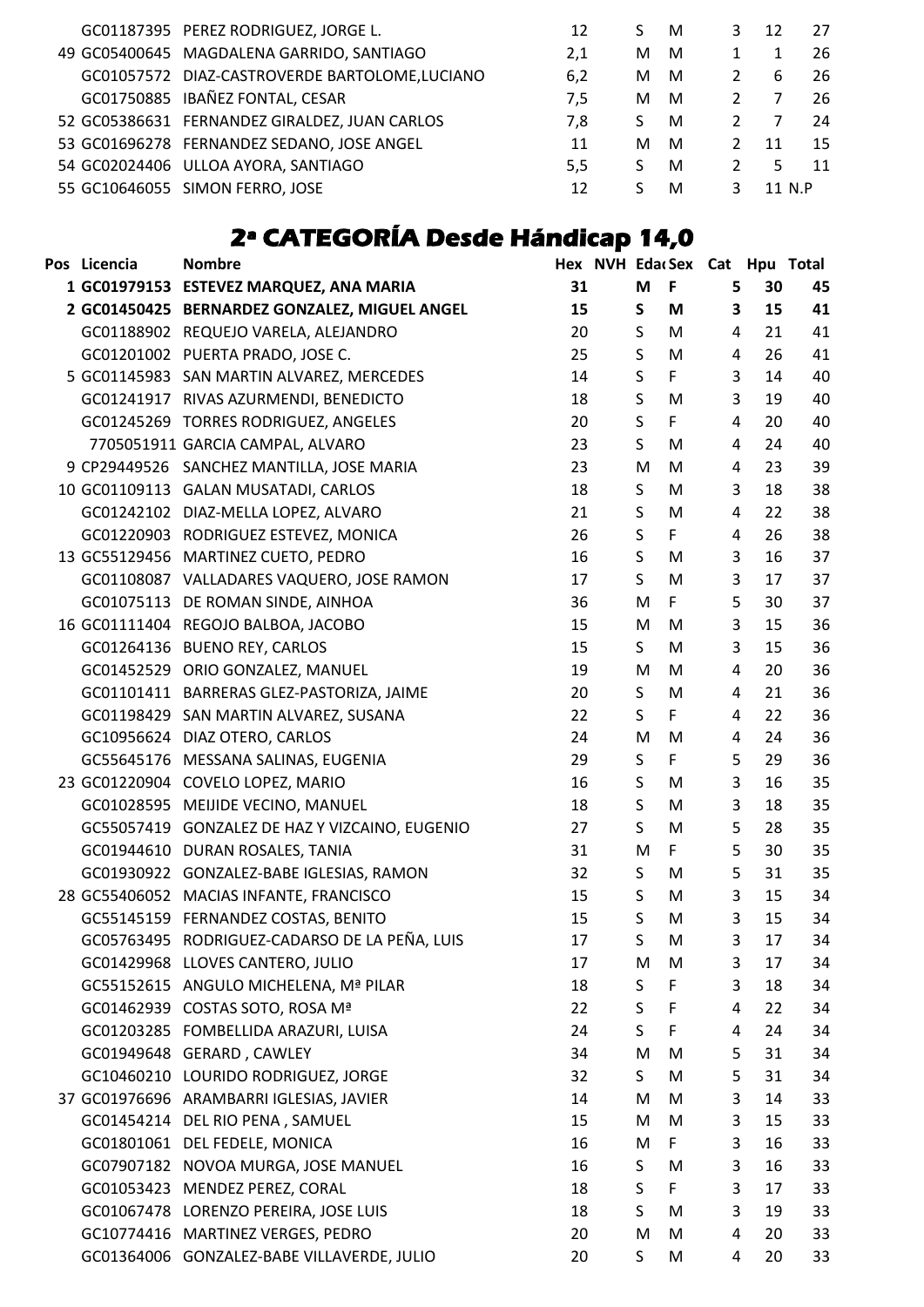|  | GC01187395 PEREZ RODRIGUEZ, JORGE L.          | 12  |    | M | 3 | 12     | 27 |
|--|-----------------------------------------------|-----|----|---|---|--------|----|
|  | 49 GC05400645 MAGDALENA GARRIDO, SANTIAGO     | 2,1 | м  | M |   |        | 26 |
|  | GC01057572 DIAZ-CASTROVERDE BARTOLOME,LUCIANO | 6,2 | м  | M | 2 | 6      | 26 |
|  | GC01750885 IBAÑEZ FONTAL, CESAR               | 7.5 | м  | M |   |        | 26 |
|  | 52 GC05386631 FERNANDEZ GIRALDEZ, JUAN CARLOS | 7.8 | S. | M |   |        | 24 |
|  | 53 GC01696278 FERNANDEZ SEDANO, JOSE ANGEL    | 11  | м  | M | 2 | 11     | 15 |
|  | 54 GC02024406 ULLOA AYORA, SANTIAGO           | 5.5 | S. | M |   | .5.    | 11 |
|  | 55 GC10646055 SIMON FERRO, JOSE               | 12  |    | M | 3 | 11 N.P |    |
|  |                                               |     |    |   |   |        |    |

## **2ª CATEGORÍA Desde Hándicap 14,0**

| Pos Licencia | <b>Nombre</b>                                  |    |             |              | Hex NVH EdacSex Cat Hpu Total |    |    |
|--------------|------------------------------------------------|----|-------------|--------------|-------------------------------|----|----|
|              | 1 GC01979153 ESTEVEZ MARQUEZ, ANA MARIA        | 31 | M           | F            | 5                             | 30 | 45 |
|              | 2 GC01450425 BERNARDEZ GONZALEZ, MIGUEL ANGEL  | 15 | $\mathsf S$ | M            | $\overline{\mathbf{3}}$       | 15 | 41 |
|              | GC01188902 REQUEJO VARELA, ALEJANDRO           | 20 | S           | M            | 4                             | 21 | 41 |
|              | GC01201002 PUERTA PRADO, JOSE C.               | 25 | S           | M            | $\overline{4}$                | 26 | 41 |
|              | 5 GC01145983 SAN MARTIN ALVAREZ, MERCEDES      | 14 | S           | F            | 3                             | 14 | 40 |
|              | GC01241917 RIVAS AZURMENDI, BENEDICTO          | 18 | $\sf S$     | M            | 3                             | 19 | 40 |
|              | GC01245269 TORRES RODRIGUEZ, ANGELES           | 20 | S           | F            | 4                             | 20 | 40 |
|              | 7705051911 GARCIA CAMPAL, ALVARO               | 23 | S           | M            | 4                             | 24 | 40 |
|              | 9 CP29449526 SANCHEZ MANTILLA, JOSE MARIA      | 23 | M           | M            | $\overline{4}$                | 23 | 39 |
|              | 10 GC01109113 GALAN MUSATADI, CARLOS           | 18 | S           | M            | 3                             | 18 | 38 |
|              | GC01242102 DIAZ-MELLA LOPEZ, ALVARO            | 21 | S           | M            | 4                             | 22 | 38 |
|              | GC01220903 RODRIGUEZ ESTEVEZ, MONICA           | 26 | S           | F            | 4                             | 26 | 38 |
|              | 13 GC55129456 MARTINEZ CUETO, PEDRO            | 16 | $\sf S$     | M            | 3                             | 16 | 37 |
|              | GC01108087 VALLADARES VAQUERO, JOSE RAMON      | 17 | S           | M            | $\overline{3}$                | 17 | 37 |
|              | GC01075113 DE ROMAN SINDE, AINHOA              | 36 | M           | F            | 5                             | 30 | 37 |
|              | 16 GC01111404 REGOJO BALBOA, JACOBO            | 15 | M           | M            | 3                             | 15 | 36 |
|              | GC01264136 BUENO REY, CARLOS                   | 15 | S           | M            | 3                             | 15 | 36 |
|              | GC01452529 ORIO GONZALEZ, MANUEL               | 19 | M           | M            | 4                             | 20 | 36 |
|              | GC01101411 BARRERAS GLEZ-PASTORIZA, JAIME      | 20 | S           | M            | 4                             | 21 | 36 |
|              | GC01198429 SAN MARTIN ALVAREZ, SUSANA          | 22 | S           | F            | 4                             | 22 | 36 |
|              | GC10956624 DIAZ OTERO, CARLOS                  | 24 | M           | M            | 4                             | 24 | 36 |
|              | GC55645176 MESSANA SALINAS, EUGENIA            | 29 | S           | F            | 5                             | 29 | 36 |
|              | 23 GC01220904 COVELO LOPEZ, MARIO              | 16 | S           | M            | 3                             | 16 | 35 |
|              | GC01028595 MEIJIDE VECINO, MANUEL              | 18 | S           | M            | 3                             | 18 | 35 |
|              | GC55057419 GONZALEZ DE HAZ Y VIZCAINO, EUGENIO | 27 | S           | M            | 5                             | 28 | 35 |
|              | GC01944610 DURAN ROSALES, TANIA                | 31 | M           | $\mathsf{F}$ | 5                             | 30 | 35 |
|              | GC01930922 GONZALEZ-BABE IGLESIAS, RAMON       | 32 | S           | M            | 5                             | 31 | 35 |
|              | 28 GC55406052 MACIAS INFANTE, FRANCISCO        | 15 | S           | M            | 3                             | 15 | 34 |
|              | GC55145159 FERNANDEZ COSTAS, BENITO            | 15 | $\sf S$     | M            | 3                             | 15 | 34 |
|              | GC05763495 RODRIGUEZ-CADARSO DE LA PEÑA, LUIS  | 17 | S           | M            | 3                             | 17 | 34 |
|              | GC01429968 LLOVES CANTERO, JULIO               | 17 | M           | M            | 3                             | 17 | 34 |
|              | GC55152615 ANGULO MICHELENA, Mª PILAR          | 18 | S           | F            | 3                             | 18 | 34 |
|              | GC01462939 COSTAS SOTO, ROSA Mª                | 22 | S           | F            | 4                             | 22 | 34 |
|              | GC01203285 FOMBELLIDA ARAZURI, LUISA           | 24 | S           | F            | 4                             | 24 | 34 |
|              | GC01949648 GERARD, CAWLEY                      | 34 | M           | M            | 5                             | 31 | 34 |
|              | GC10460210 LOURIDO RODRIGUEZ, JORGE            | 32 | S.          | M            | 5                             | 31 | 34 |
|              | 37 GC01976696 ARAMBARRI IGLESIAS, JAVIER       | 14 | M           | M            | 3                             | 14 | 33 |
|              | GC01454214 DEL RIO PENA, SAMUEL                | 15 | M           | M            | 3                             | 15 | 33 |
|              | GC01801061 DEL FEDELE, MONICA                  | 16 | M           | F            | 3                             | 16 | 33 |
|              | GC07907182 NOVOA MURGA, JOSE MANUEL            | 16 | S.          | M            | 3                             | 16 | 33 |
|              | GC01053423 MENDEZ PEREZ, CORAL                 | 18 | S           | F            | 3                             | 17 | 33 |
|              | GC01067478 LORENZO PEREIRA, JOSE LUIS          | 18 | S           | M            | $\overline{3}$                | 19 | 33 |
|              | GC10774416 MARTINEZ VERGES, PEDRO              | 20 | M           | M            | 4                             | 20 | 33 |
|              | GC01364006 GONZALEZ-BABE VILLAVERDE, JULIO     | 20 | S           | M            | 4                             | 20 | 33 |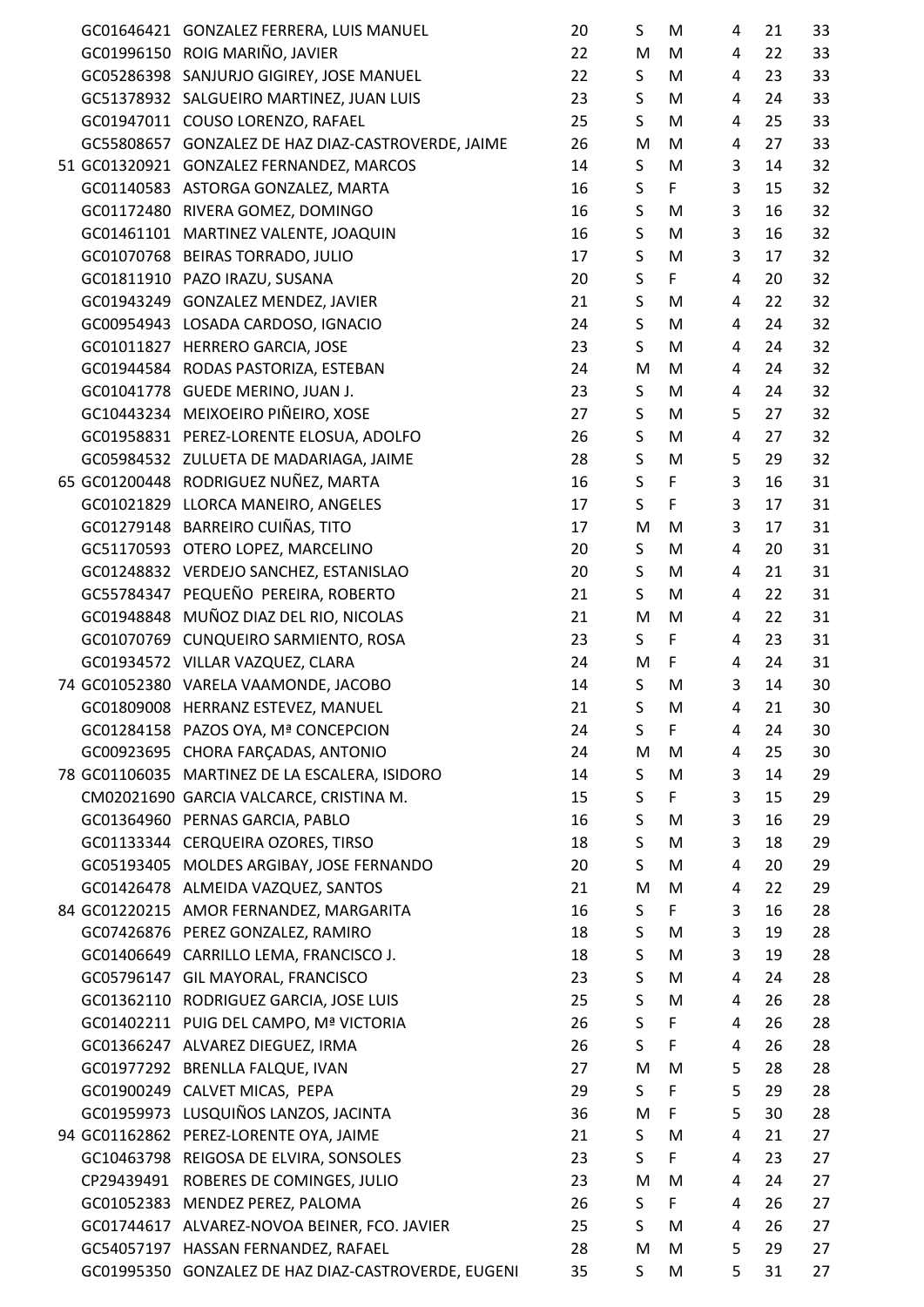|  | GC01646421 GONZALEZ FERRERA, LUIS MANUEL            | 20 | S            | M            | 4              | 21 | 33 |
|--|-----------------------------------------------------|----|--------------|--------------|----------------|----|----|
|  | GC01996150 ROIG MARIÑO, JAVIER                      | 22 | M            | M            | 4              | 22 | 33 |
|  | GC05286398 SANJURJO GIGIREY, JOSE MANUEL            | 22 | S            | M            | 4              | 23 | 33 |
|  | GC51378932 SALGUEIRO MARTINEZ, JUAN LUIS            | 23 | S            | M            | 4              | 24 | 33 |
|  | GC01947011 COUSO LORENZO, RAFAEL                    | 25 | S            | M            | 4              | 25 | 33 |
|  | GC55808657 GONZALEZ DE HAZ DIAZ-CASTROVERDE, JAIME  | 26 | M            | M            | 4              | 27 | 33 |
|  | 51 GC01320921 GONZALEZ FERNANDEZ, MARCOS            | 14 | S            | M            | 3              | 14 | 32 |
|  | GC01140583 ASTORGA GONZALEZ, MARTA                  | 16 | $\sf S$      | F            | 3              | 15 | 32 |
|  | GC01172480 RIVERA GOMEZ, DOMINGO                    | 16 | $\mathsf S$  | M            | 3              | 16 | 32 |
|  | GC01461101 MARTINEZ VALENTE, JOAQUIN                | 16 | $\mathsf S$  | M            | 3              | 16 | 32 |
|  | GC01070768 BEIRAS TORRADO, JULIO                    | 17 | $\mathsf S$  | M            | 3              | 17 | 32 |
|  | GC01811910 PAZO IRAZU, SUSANA                       | 20 | $\sf S$      | F            | $\overline{4}$ | 20 | 32 |
|  | GC01943249 GONZALEZ MENDEZ, JAVIER                  | 21 | $\sf S$      | M            | 4              | 22 | 32 |
|  | GC00954943 LOSADA CARDOSO, IGNACIO                  | 24 | S            | M            | 4              | 24 | 32 |
|  | GC01011827 HERRERO GARCIA, JOSE                     | 23 | S            | M            | $\overline{4}$ | 24 | 32 |
|  | GC01944584 RODAS PASTORIZA, ESTEBAN                 | 24 | M            | M            | 4              | 24 | 32 |
|  | GC01041778 GUEDE MERINO, JUAN J.                    | 23 | S            | M            | 4              | 24 | 32 |
|  | GC10443234 MEIXOEIRO PIÑEIRO, XOSE                  | 27 | S            | M            | 5              | 27 | 32 |
|  | GC01958831 PEREZ-LORENTE ELOSUA, ADOLFO             | 26 | $\mathsf S$  | M            | 4              | 27 | 32 |
|  | GC05984532 ZULUETA DE MADARIAGA, JAIME              | 28 | $\sf S$      | M            | 5              | 29 | 32 |
|  | 65 GC01200448 RODRIGUEZ NUÑEZ, MARTA                | 16 | $\sf S$      | F            | 3              | 16 | 31 |
|  | GC01021829 LLORCA MANEIRO, ANGELES                  | 17 | $\mathsf{S}$ | F            | 3              | 17 | 31 |
|  | GC01279148 BARREIRO CUIÑAS, TITO                    | 17 | M            | M            | 3              | 17 | 31 |
|  | GC51170593 OTERO LOPEZ, MARCELINO                   | 20 | S            | M            | 4              | 20 | 31 |
|  | GC01248832 VERDEJO SANCHEZ, ESTANISLAO              | 20 | $\sf S$      | M            | 4              | 21 | 31 |
|  | GC55784347 PEQUEÑO PEREIRA, ROBERTO                 | 21 | S            | M            | 4              | 22 | 31 |
|  | GC01948848 MUÑOZ DIAZ DEL RIO, NICOLAS              | 21 | ${\sf M}$    | M            | 4              | 22 | 31 |
|  | GC01070769 CUNQUEIRO SARMIENTO, ROSA                | 23 | S            | F            | 4              | 23 | 31 |
|  | GC01934572 VILLAR VAZQUEZ, CLARA                    | 24 | M            | $\mathsf{F}$ | 4              | 24 | 31 |
|  | 74 GC01052380 VARELA VAAMONDE, JACOBO               | 14 | S            | M            | 3              | 14 | 30 |
|  | GC01809008 HERRANZ ESTEVEZ, MANUEL                  | 21 | S.           | M            | 4              | 21 | 30 |
|  | GC01284158 PAZOS OYA, Mª CONCEPCION                 | 24 | S            | F            | 4              | 24 | 30 |
|  | GC00923695 CHORA FARÇADAS, ANTONIO                  | 24 | M            | M            | 4              | 25 | 30 |
|  | 78 GC01106035 MARTINEZ DE LA ESCALERA, ISIDORO      | 14 | S            | M            | 3              | 14 | 29 |
|  | CM02021690 GARCIA VALCARCE, CRISTINA M.             | 15 | S            | F            | 3              | 15 | 29 |
|  | GC01364960 PERNAS GARCIA, PABLO                     | 16 | S            | M            | 3              | 16 | 29 |
|  | GC01133344 CERQUEIRA OZORES, TIRSO                  | 18 | S            | M            | 3              | 18 | 29 |
|  | GC05193405 MOLDES ARGIBAY, JOSE FERNANDO            | 20 | S            | M            | 4              | 20 | 29 |
|  | GC01426478 ALMEIDA VAZQUEZ, SANTOS                  | 21 | M            | M            | 4              | 22 | 29 |
|  | 84 GC01220215 AMOR FERNANDEZ, MARGARITA             | 16 | S            | F            | 3              | 16 | 28 |
|  | GC07426876 PEREZ GONZALEZ, RAMIRO                   | 18 | $\mathsf S$  | M            | 3              | 19 | 28 |
|  | GC01406649 CARRILLO LEMA, FRANCISCO J.              | 18 | S            | M            | 3              | 19 | 28 |
|  | GC05796147 GIL MAYORAL, FRANCISCO                   | 23 | S            | M            | 4              | 24 | 28 |
|  | GC01362110 RODRIGUEZ GARCIA, JOSE LUIS              | 25 | $\sf S$      | M            | 4              | 26 | 28 |
|  | GC01402211 PUIG DEL CAMPO, Mª VICTORIA              | 26 | $\sf S$      | F            | 4              | 26 | 28 |
|  | GC01366247 ALVAREZ DIEGUEZ, IRMA                    | 26 | S            | F            | 4              | 26 | 28 |
|  | GC01977292 BRENLLA FALQUE, IVAN                     | 27 | M            | M            | 5              | 28 | 28 |
|  | GC01900249 CALVET MICAS, PEPA                       | 29 | S            | F            | 5              | 29 | 28 |
|  | GC01959973 LUSQUIÑOS LANZOS, JACINTA                | 36 | M            | F            | 5              | 30 | 28 |
|  | 94 GC01162862 PEREZ-LORENTE OYA, JAIME              | 21 | S            | M            | 4              | 21 | 27 |
|  | GC10463798 REIGOSA DE ELVIRA, SONSOLES              | 23 | $\sf S$      | F            | 4              | 23 | 27 |
|  | CP29439491 ROBERES DE COMINGES, JULIO               | 23 | M            | M            | 4              | 24 | 27 |
|  | GC01052383 MENDEZ PEREZ, PALOMA                     | 26 | $\sf S$      | F            | 4              | 26 | 27 |
|  | GC01744617 ALVAREZ-NOVOA BEINER, FCO. JAVIER        | 25 | S            | M            | 4              | 26 | 27 |
|  | GC54057197 HASSAN FERNANDEZ, RAFAEL                 | 28 | M            | M            | 5              | 29 | 27 |
|  | GC01995350 GONZALEZ DE HAZ DIAZ-CASTROVERDE, EUGENI | 35 | S            | M            | 5              | 31 | 27 |
|  |                                                     |    |              |              |                |    |    |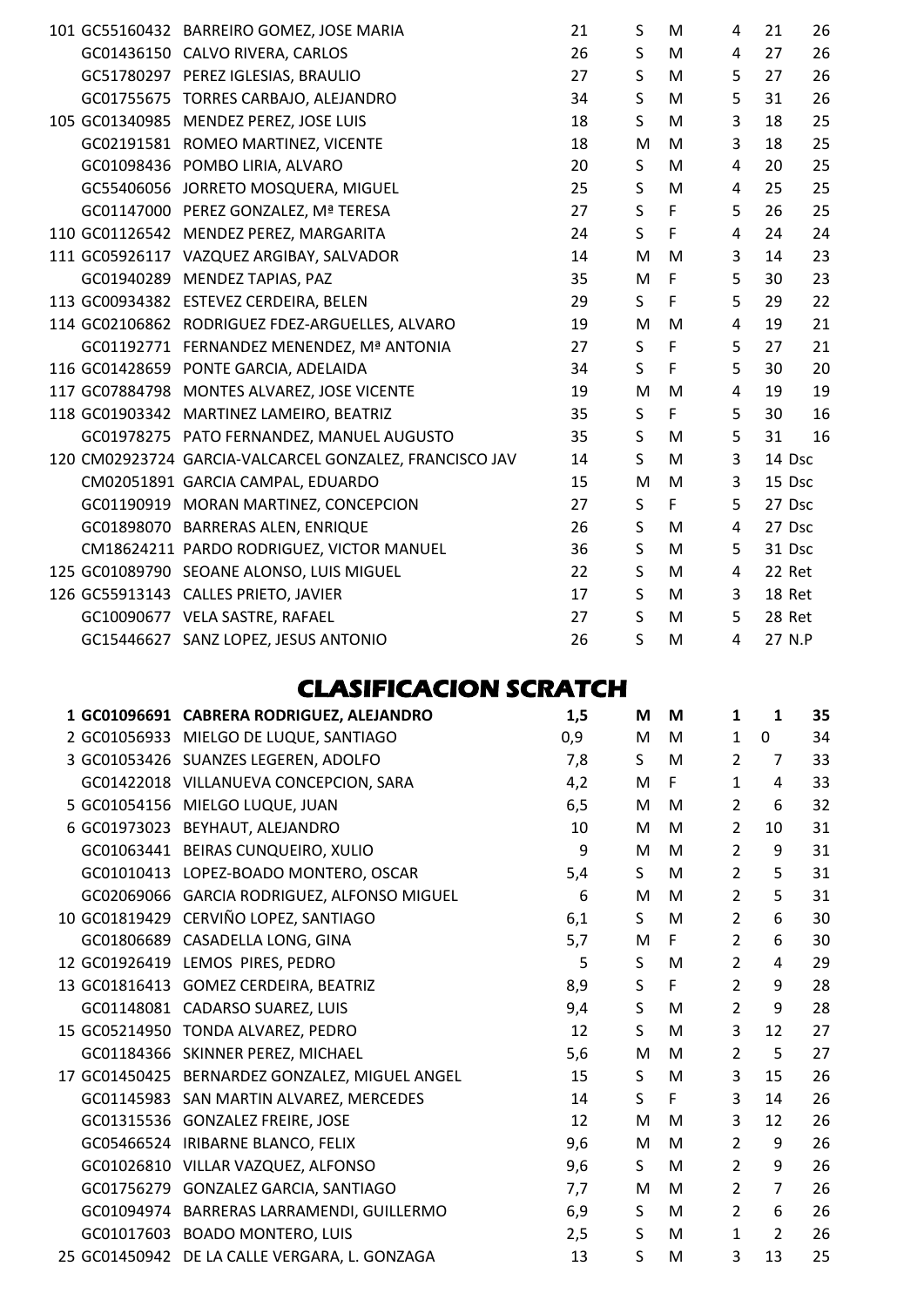|  | 101 GC55160432 BARREIRO GOMEZ, JOSE MARIA               | 21 | S               | M | 4 | 21     | 26 |
|--|---------------------------------------------------------|----|-----------------|---|---|--------|----|
|  | GC01436150 CALVO RIVERA, CARLOS                         | 26 | S               | M | 4 | 27     | 26 |
|  | GC51780297 PEREZ IGLESIAS, BRAULIO                      | 27 | S               | M | 5 | 27     | 26 |
|  | GC01755675 TORRES CARBAJO, ALEJANDRO                    | 34 | S               | M | 5 | 31     | 26 |
|  | 105 GC01340985 MENDEZ PEREZ, JOSE LUIS                  | 18 | S               | M | 3 | 18     | 25 |
|  | GC02191581 ROMEO MARTINEZ, VICENTE                      | 18 | M               | M | 3 | 18     | 25 |
|  | GC01098436 POMBO LIRIA, ALVARO                          | 20 | S               | M | 4 | 20     | 25 |
|  | GC55406056 JORRETO MOSQUERA, MIGUEL                     | 25 | S               | M | 4 | 25     | 25 |
|  | GC01147000 PEREZ GONZALEZ, Mª TERESA                    | 27 | S               | F | 5 | 26     | 25 |
|  | 110 GC01126542 MENDEZ PEREZ, MARGARITA                  | 24 | $\mathsf{S}$    | F | 4 | 24     | 24 |
|  | 111 GC05926117 VAZQUEZ ARGIBAY, SALVADOR                | 14 | M               | M | 3 | 14     | 23 |
|  | GC01940289 MENDEZ TAPIAS, PAZ                           | 35 | M               | F | 5 | 30     | 23 |
|  | 113 GC00934382 ESTEVEZ CERDEIRA, BELEN                  | 29 | S               | F | 5 | 29     | 22 |
|  | 114 GC02106862 RODRIGUEZ FDEZ-ARGUELLES, ALVARO         | 19 | M               | M | 4 | 19     | 21 |
|  | GC01192771 FERNANDEZ MENENDEZ, Mª ANTONIA               | 27 | $S_{\parallel}$ | F | 5 | 27     | 21 |
|  | 116 GC01428659 PONTE GARCIA, ADELAIDA                   | 34 | S               | F | 5 | 30     | 20 |
|  | 117 GC07884798 MONTES ALVAREZ, JOSE VICENTE             | 19 | M               | M | 4 | 19     | 19 |
|  | 118 GC01903342 MARTINEZ LAMEIRO, BEATRIZ                | 35 | $\mathsf{S}$    | F | 5 | 30     | 16 |
|  | GC01978275 PATO FERNANDEZ, MANUEL AUGUSTO               | 35 | S               | M | 5 | 31     | 16 |
|  | 120 CM02923724 GARCIA-VALCARCEL GONZALEZ, FRANCISCO JAV | 14 | S               | M | 3 | 14 Dsc |    |
|  | CM02051891 GARCIA CAMPAL, EDUARDO                       | 15 | M               | M | 3 | 15 Dsc |    |
|  | GC01190919 MORAN MARTINEZ, CONCEPCION                   | 27 | S               | F | 5 | 27 Dsc |    |
|  | GC01898070 BARRERAS ALEN, ENRIQUE                       | 26 | S               | M | 4 | 27 Dsc |    |
|  | CM18624211 PARDO RODRIGUEZ, VICTOR MANUEL               | 36 | S               | M | 5 | 31 Dsc |    |
|  | 125 GC01089790 SEOANE ALONSO, LUIS MIGUEL               | 22 | S               | M | 4 | 22 Ret |    |
|  | 126 GC55913143 CALLES PRIETO, JAVIER                    | 17 | S               | M | 3 | 18 Ret |    |
|  | GC10090677 VELA SASTRE, RAFAEL                          | 27 | S               | M | 5 | 28 Ret |    |
|  | GC15446627 SANZ LOPEZ, JESUS ANTONIO                    | 26 | S               | M | 4 | 27 N.P |    |

### **CLASIFICACION SCRATCH**

| 1 GC01096691 CABRERA RODRIGUEZ, ALEJANDRO      | 1,5 | M           | M           | 1              | 1              | 35 |
|------------------------------------------------|-----|-------------|-------------|----------------|----------------|----|
| 2 GC01056933 MIELGO DE LUQUE, SANTIAGO         | 0,9 | M           | M           | 1              | 0              | 34 |
| 3 GC01053426 SUANZES LEGEREN, ADOLFO           | 7,8 | S           | M           | $\overline{2}$ | $\overline{7}$ | 33 |
| GC01422018 VILLANUEVA CONCEPCION, SARA         | 4,2 | M           | F           | $\mathbf 1$    | 4              | 33 |
| 5 GC01054156 MIELGO LUQUE, JUAN                | 6,5 | M           | M           | $\overline{2}$ | 6              | 32 |
| 6 GC01973023 BEYHAUT, ALEJANDRO                | 10  | M           | M           | $\overline{2}$ | 10             | 31 |
| GC01063441 BEIRAS CUNQUEIRO, XULIO             | 9   | M           | M           | $\overline{2}$ | 9              | 31 |
| GC01010413 LOPEZ-BOADO MONTERO, OSCAR          | 5,4 | S           | M           | $\overline{2}$ | 5              | 31 |
| GC02069066 GARCIA RODRIGUEZ, ALFONSO MIGUEL    | 6   | M           | M           | $\overline{2}$ | 5              | 31 |
| 10 GC01819429 CERVIÑO LOPEZ, SANTIAGO          | 6,1 | S           | M           | $\overline{2}$ | 6              | 30 |
| GC01806689 CASADELLA LONG, GINA                | 5,7 | M           | F           | $\overline{2}$ | 6              | 30 |
| 12 GC01926419 LEMOS PIRES, PEDRO               | 5   | S           | M           | $\overline{2}$ | 4              | 29 |
| 13 GC01816413 GOMEZ CERDEIRA, BEATRIZ          | 8,9 | $\sf S$     | $\mathsf F$ | $\overline{2}$ | 9              | 28 |
| GC01148081 CADARSO SUAREZ, LUIS                | 9,4 | $\mathsf S$ | M           | $\overline{2}$ | 9              | 28 |
| 15 GC05214950 TONDA ALVAREZ, PEDRO             | 12  | S           | M           | 3              | 12             | 27 |
| GC01184366 SKINNER PEREZ, MICHAEL              | 5,6 | M           | M           | $\overline{2}$ | 5              | 27 |
| 17 GC01450425 BERNARDEZ GONZALEZ, MIGUEL ANGEL | 15  | S.          | M           | 3              | 15             | 26 |
| GC01145983 SAN MARTIN ALVAREZ, MERCEDES        | 14  | S           | F           | 3              | 14             | 26 |
| GC01315536 GONZALEZ FREIRE, JOSE               | 12  | M           | M           | 3              | 12             | 26 |
| GC05466524 IRIBARNE BLANCO, FELIX              | 9,6 | M           | M           | $\overline{2}$ | 9              | 26 |
| GC01026810 VILLAR VAZQUEZ, ALFONSO             | 9,6 | S.          | M           | $\overline{2}$ | 9              | 26 |
| GC01756279 GONZALEZ GARCIA, SANTIAGO           | 7,7 | M           | M           | $\overline{2}$ | $\overline{7}$ | 26 |
| GC01094974 BARRERAS LARRAMENDI, GUILLERMO      | 6,9 | S           | M           | $\overline{2}$ | 6              | 26 |
| GC01017603 BOADO MONTERO, LUIS                 | 2,5 | S           | M           | 1              | $\overline{2}$ | 26 |
| 25 GC01450942 DE LA CALLE VERGARA, L. GONZAGA  | 13  | S           | M           | 3              | 13             | 25 |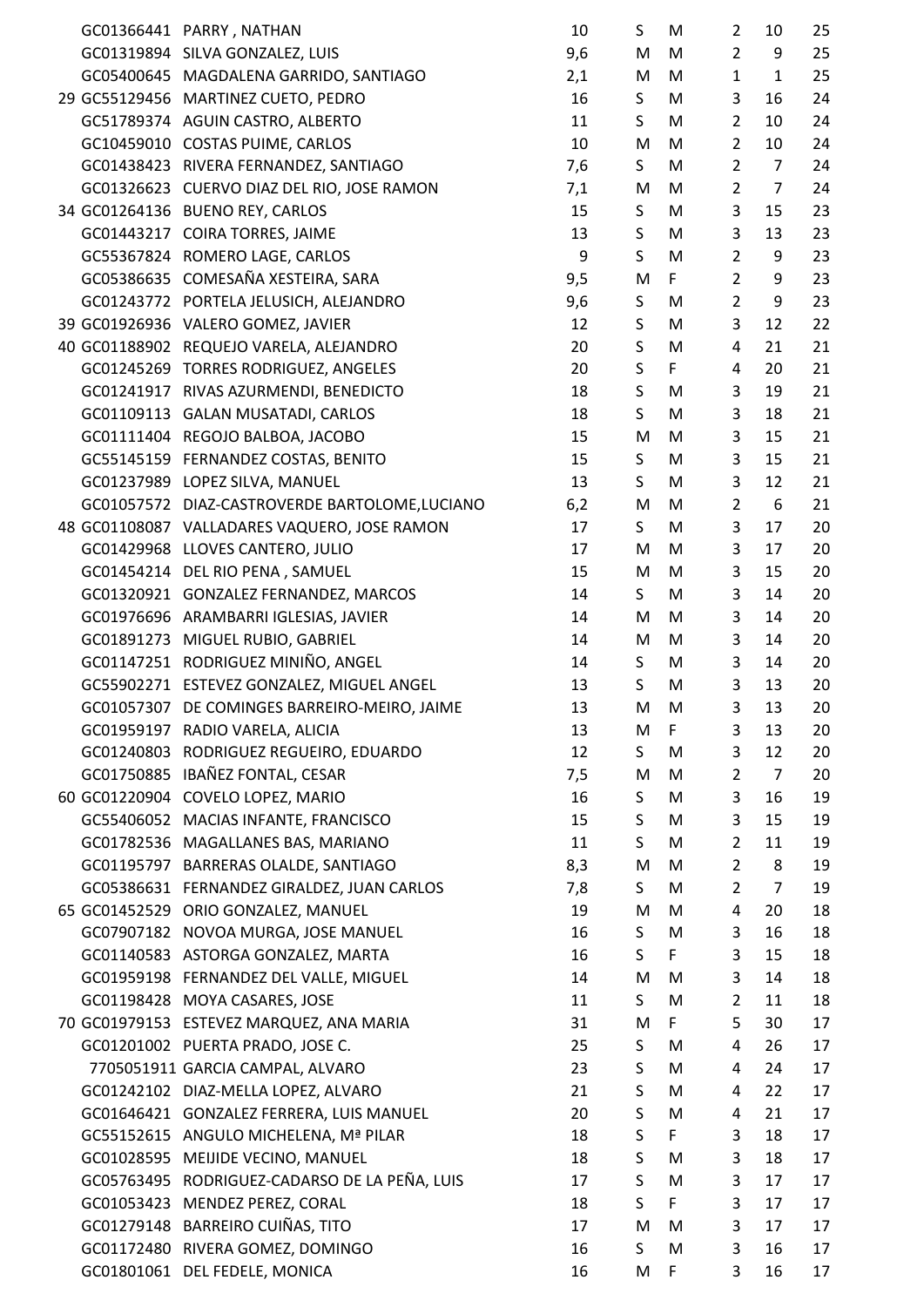|  | GC01366441 PARRY, NATHAN                                                   | 10       | S | M | $\overline{2}$ | 10             | 25       |
|--|----------------------------------------------------------------------------|----------|---|---|----------------|----------------|----------|
|  | GC01319894 SILVA GONZALEZ, LUIS                                            | 9,6      | M | M | $\overline{2}$ | 9              | 25       |
|  | GC05400645 MAGDALENA GARRIDO, SANTIAGO                                     | 2,1      | M | M | $\mathbf{1}$   | $\mathbf{1}$   | 25       |
|  | 29 GC55129456 MARTINEZ CUETO, PEDRO                                        | 16       | S | M | 3              | 16             | 24       |
|  | GC51789374 AGUIN CASTRO, ALBERTO                                           | 11       | S | M | $\overline{2}$ | 10             | 24       |
|  | GC10459010 COSTAS PUIME, CARLOS                                            | 10       | M | M | $\overline{2}$ | 10             | 24       |
|  | GC01438423 RIVERA FERNANDEZ, SANTIAGO                                      | 7,6      | S | M | $\overline{2}$ | $\overline{7}$ | 24       |
|  | GC01326623 CUERVO DIAZ DEL RIO, JOSE RAMON                                 | 7,1      | M | M | $\overline{2}$ | $\overline{7}$ | 24       |
|  | 34 GC01264136 BUENO REY, CARLOS                                            | 15       | S | M | 3              | 15             | 23       |
|  | GC01443217 COIRA TORRES, JAIME                                             | 13       | S | M | 3              | 13             | 23       |
|  | GC55367824 ROMERO LAGE, CARLOS                                             | 9        | S | M | $\overline{2}$ | 9              | 23       |
|  | GC05386635 COMESAÑA XESTEIRA, SARA                                         | 9,5      | M | F | $\overline{2}$ | 9              | 23       |
|  | GC01243772 PORTELA JELUSICH, ALEJANDRO                                     | 9,6      | S | M | $\overline{2}$ | 9              | 23       |
|  | 39 GC01926936 VALERO GOMEZ, JAVIER                                         | 12       | S | M | 3              | 12             | 22       |
|  | 40 GC01188902 REQUEJO VARELA, ALEJANDRO                                    | 20       | S | M | 4              | 21             | 21       |
|  | GC01245269 TORRES RODRIGUEZ, ANGELES                                       | 20       | S | F | 4              | 20             | 21       |
|  | GC01241917 RIVAS AZURMENDI, BENEDICTO                                      | 18       | S | M | 3              | 19             | 21       |
|  | GC01109113 GALAN MUSATADI, CARLOS                                          | 18       | S | M | 3              | 18             | 21       |
|  | GC01111404 REGOJO BALBOA, JACOBO                                           | 15       | M | M | 3              | 15             | 21       |
|  | GC55145159 FERNANDEZ COSTAS, BENITO                                        | 15       | S | M | 3              | 15             | 21       |
|  | GC01237989 LOPEZ SILVA, MANUEL                                             | 13       | S | M | 3              | 12             | 21       |
|  | GC01057572 DIAZ-CASTROVERDE BARTOLOME,LUCIANO                              | 6,2      | M | M | $\overline{2}$ | 6              | 21       |
|  | 48 GC01108087 VALLADARES VAQUERO, JOSE RAMON                               | 17       | S | M | 3              | 17             | 20       |
|  | GC01429968 LLOVES CANTERO, JULIO                                           | 17       | M | M | 3              | 17             | 20       |
|  | GC01454214 DEL RIO PENA, SAMUEL                                            | 15       | M | M | 3              | 15             | 20       |
|  | GC01320921 GONZALEZ FERNANDEZ, MARCOS                                      | 14       | S | M | 3              | 14             | 20       |
|  | GC01976696 ARAMBARRI IGLESIAS, JAVIER                                      | 14       | M | M | 3              | 14             | 20       |
|  | GC01891273 MIGUEL RUBIO, GABRIEL                                           | 14       | M | M | 3              | 14             | 20       |
|  | GC01147251 RODRIGUEZ MINIÑO, ANGEL                                         | 14       | S | M | 3              | 14             | 20       |
|  | GC55902271 ESTEVEZ GONZALEZ, MIGUEL ANGEL                                  | 13       | S | M | 3              | 13             | 20       |
|  | GC01057307 DE COMINGES BARREIRO-MEIRO, JAIME                               | 13       | M | M | 3              | 13             | 20       |
|  | GC01959197 RADIO VARELA, ALICIA                                            | 13       | M | F | 3              | 13             | 20       |
|  | GC01240803 RODRIGUEZ REGUEIRO, EDUARDO                                     | 12       | S | M | 3              | 12             | 20       |
|  | GC01750885 IBAÑEZ FONTAL, CESAR                                            | 7,5      | M | M | $\overline{2}$ | $\overline{7}$ | 20       |
|  | 60 GC01220904 COVELO LOPEZ, MARIO                                          | 16       | S | M | 3              | 16             | 19       |
|  | GC55406052 MACIAS INFANTE, FRANCISCO                                       | 15       | S | M | 3              | 15             | 19       |
|  | GC01782536 MAGALLANES BAS, MARIANO                                         | 11       | S | M | $\overline{2}$ | 11             | 19       |
|  | GC01195797 BARRERAS OLALDE, SANTIAGO                                       |          | M | M | $\overline{2}$ | 8              | 19       |
|  |                                                                            | 8,3      | S | M | $\overline{2}$ | $\overline{7}$ | 19       |
|  | GC05386631 FERNANDEZ GIRALDEZ, JUAN CARLOS                                 | 7,8      | M | M | 4              | 20             |          |
|  | 65 GC01452529 ORIO GONZALEZ, MANUEL<br>GC07907182 NOVOA MURGA, JOSE MANUEL | 19<br>16 | S | M | 3              | 16             | 18<br>18 |
|  |                                                                            |          |   | F | 3              |                | 18       |
|  | GC01140583 ASTORGA GONZALEZ, MARTA                                         | 16       | S |   |                | 15             |          |
|  | GC01959198 FERNANDEZ DEL VALLE, MIGUEL                                     | 14       | M | M | 3              | 14             | 18       |
|  | GC01198428 MOYA CASARES, JOSE                                              | 11       | S | M | $\overline{2}$ | 11             | 18       |
|  | 70 GC01979153 ESTEVEZ MARQUEZ, ANA MARIA                                   | 31       | M | F | 5              | 30             | 17       |
|  | GC01201002 PUERTA PRADO, JOSE C.                                           | 25       | S | M | 4              | 26             | 17       |
|  | 7705051911 GARCIA CAMPAL, ALVARO                                           | 23       | S | M | 4              | 24             | 17       |
|  | GC01242102 DIAZ-MELLA LOPEZ, ALVARO                                        | 21       | S | M | 4              | 22             | 17       |
|  | GC01646421 GONZALEZ FERRERA, LUIS MANUEL                                   | 20       | S | M | 4              | 21             | 17       |
|  | GC55152615 ANGULO MICHELENA, Mª PILAR                                      | 18       | S | F | 3              | 18             | 17       |
|  | GC01028595 MEIJIDE VECINO, MANUEL                                          | 18       | S | M | 3              | 18             | 17       |
|  | GC05763495 RODRIGUEZ-CADARSO DE LA PEÑA, LUIS                              | 17       | S | M | 3              | 17             | 17       |
|  | GC01053423 MENDEZ PEREZ, CORAL                                             | 18       | S | F | 3              | 17             | 17       |
|  | GC01279148 BARREIRO CUIÑAS, TITO                                           | 17       | M | M | 3              | 17             | 17       |
|  | GC01172480 RIVERA GOMEZ, DOMINGO                                           | 16       | S | M | 3              | 16             | 17       |
|  | GC01801061 DEL FEDELE, MONICA                                              | 16       | M | F | 3              | 16             | 17       |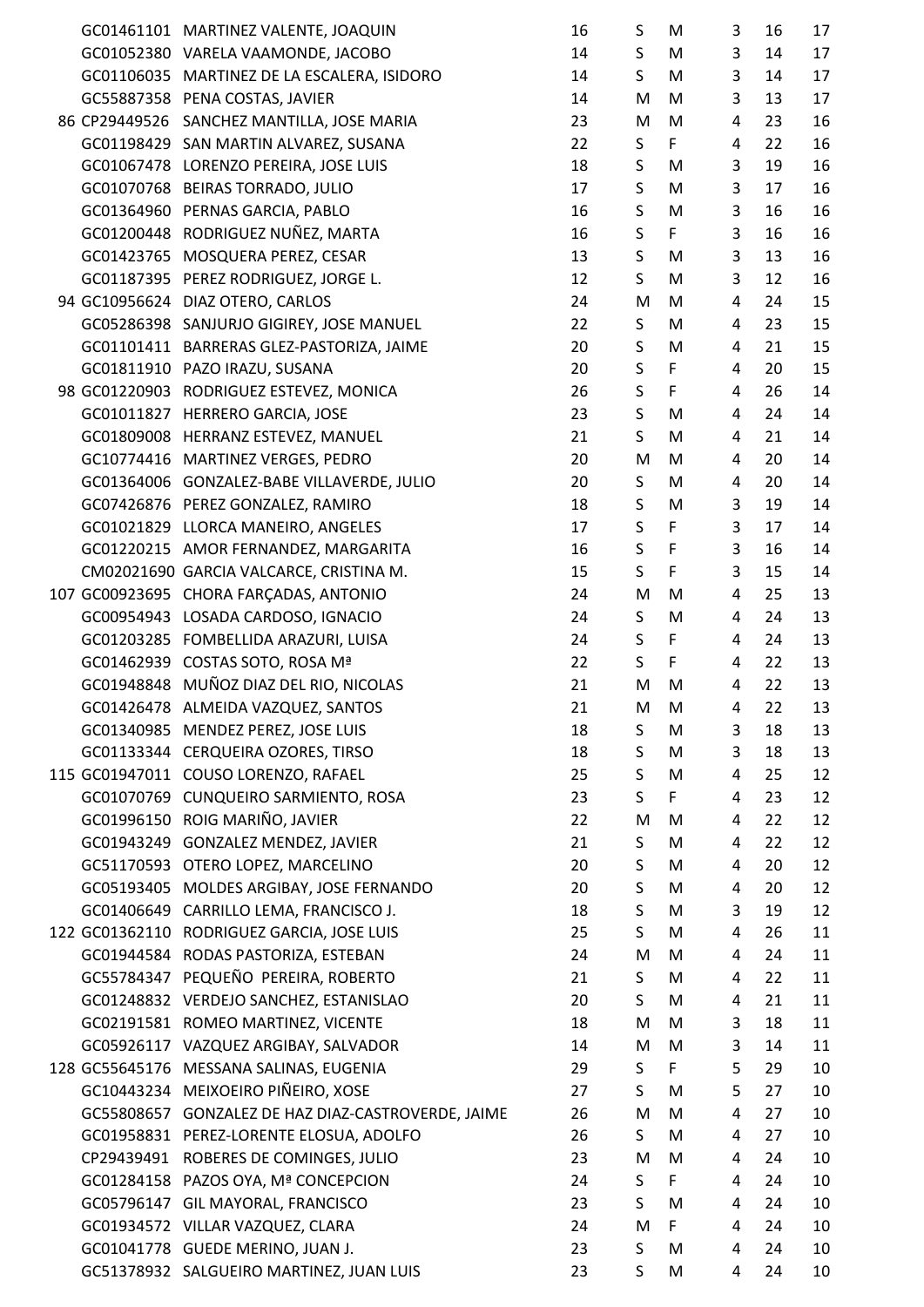|  | GC01461101 MARTINEZ VALENTE, JOAQUIN               | 16 | S            | M           | 3              | 16 | 17 |
|--|----------------------------------------------------|----|--------------|-------------|----------------|----|----|
|  | GC01052380 VARELA VAAMONDE, JACOBO                 | 14 | S            | M           | 3              | 14 | 17 |
|  | GC01106035 MARTINEZ DE LA ESCALERA, ISIDORO        | 14 | S            | M           | 3              | 14 | 17 |
|  | GC55887358 PENA COSTAS, JAVIER                     | 14 | M            | M           | 3              | 13 | 17 |
|  | 86 CP29449526 SANCHEZ MANTILLA, JOSE MARIA         | 23 | M            | M           | $\overline{4}$ | 23 | 16 |
|  | GC01198429 SAN MARTIN ALVAREZ, SUSANA              | 22 | S            | F           | $\overline{4}$ | 22 | 16 |
|  | GC01067478 LORENZO PEREIRA, JOSE LUIS              | 18 | $\sf S$      | M           | 3              | 19 | 16 |
|  | GC01070768 BEIRAS TORRADO, JULIO                   | 17 | $\sf S$      | M           | 3              | 17 | 16 |
|  | GC01364960 PERNAS GARCIA, PABLO                    | 16 | S            | M           | 3              | 16 | 16 |
|  | GC01200448 RODRIGUEZ NUÑEZ, MARTA                  | 16 | S            | F           | 3              | 16 | 16 |
|  | GC01423765 MOSQUERA PEREZ, CESAR                   | 13 | S            | M           | 3              | 13 | 16 |
|  | GC01187395 PEREZ RODRIGUEZ, JORGE L.               | 12 | S            | M           | 3              | 12 | 16 |
|  | 94 GC10956624 DIAZ OTERO, CARLOS                   | 24 | M            | M           | 4              | 24 | 15 |
|  | GC05286398 SANJURJO GIGIREY, JOSE MANUEL           | 22 | S            | M           | 4              | 23 | 15 |
|  | GC01101411 BARRERAS GLEZ-PASTORIZA, JAIME          | 20 | S            | M           | 4              | 21 | 15 |
|  | GC01811910 PAZO IRAZU, SUSANA                      | 20 | $\sf S$      | F           | 4              | 20 | 15 |
|  | 98 GC01220903 RODRIGUEZ ESTEVEZ, MONICA            | 26 | $\sf S$      | $\mathsf F$ | $\overline{4}$ | 26 | 14 |
|  | GC01011827 HERRERO GARCIA, JOSE                    | 23 | $\mathsf S$  | M           | 4              | 24 | 14 |
|  | GC01809008 HERRANZ ESTEVEZ, MANUEL                 | 21 | S            | M           | 4              | 21 | 14 |
|  | GC10774416 MARTINEZ VERGES, PEDRO                  | 20 | M            | M           | 4              | 20 | 14 |
|  | GC01364006 GONZALEZ-BABE VILLAVERDE, JULIO         | 20 | S            | M           | $\overline{4}$ | 20 | 14 |
|  | GC07426876 PEREZ GONZALEZ, RAMIRO                  | 18 | S            | M           | 3              | 19 | 14 |
|  | GC01021829 LLORCA MANEIRO, ANGELES                 | 17 | $\mathsf{S}$ | F           | 3              | 17 | 14 |
|  | GC01220215 AMOR FERNANDEZ, MARGARITA               | 16 | $\mathsf S$  | F           | 3              | 16 | 14 |
|  | CM02021690 GARCIA VALCARCE, CRISTINA M.            | 15 | S            | $\mathsf F$ | 3              | 15 | 14 |
|  | 107 GC00923695 CHORA FARÇADAS, ANTONIO             | 24 | M            | M           | 4              | 25 | 13 |
|  | GC00954943 LOSADA CARDOSO, IGNACIO                 | 24 | S            | M           | $\overline{4}$ | 24 | 13 |
|  | GC01203285 FOMBELLIDA ARAZURI, LUISA               | 24 | $\sf S$      | F           | $\overline{4}$ | 24 | 13 |
|  | GC01462939 COSTAS SOTO, ROSA Mª                    | 22 | S            | F           | 4              | 22 | 13 |
|  | GC01948848 MUÑOZ DIAZ DEL RIO, NICOLAS             | 21 | M            | M           | 4              | 22 | 13 |
|  | GC01426478 ALMEIDA VAZQUEZ, SANTOS                 | 21 | M            | M           | 4              | 22 | 13 |
|  | GC01340985 MENDEZ PEREZ, JOSE LUIS                 | 18 | S            | M           | 3              | 18 | 13 |
|  | GC01133344 CERQUEIRA OZORES, TIRSO                 | 18 | S            | M           | 3              | 18 | 13 |
|  | 115 GC01947011 COUSO LORENZO, RAFAEL               | 25 | S            | M           | $\overline{4}$ | 25 | 12 |
|  | GC01070769 CUNQUEIRO SARMIENTO, ROSA               | 23 | S            | F           | $\overline{4}$ | 23 | 12 |
|  | GC01996150 ROIG MARIÑO, JAVIER                     | 22 | M            | M           | 4              | 22 | 12 |
|  | GC01943249 GONZALEZ MENDEZ, JAVIER                 | 21 | S            | M           | 4              | 22 | 12 |
|  | GC51170593 OTERO LOPEZ, MARCELINO                  | 20 | S            | M           | 4              | 20 | 12 |
|  | GC05193405 MOLDES ARGIBAY, JOSE FERNANDO           | 20 | S            | M           | 4              | 20 | 12 |
|  | GC01406649 CARRILLO LEMA, FRANCISCO J.             | 18 | S            | M           | 3              | 19 | 12 |
|  | 122 GC01362110 RODRIGUEZ GARCIA, JOSE LUIS         | 25 | S            | M           | $\overline{4}$ | 26 | 11 |
|  | GC01944584 RODAS PASTORIZA, ESTEBAN                | 24 | M            | M           | $\overline{4}$ | 24 | 11 |
|  | GC55784347 PEQUEÑO PEREIRA, ROBERTO                | 21 | S            | M           | 4              | 22 | 11 |
|  | GC01248832 VERDEJO SANCHEZ, ESTANISLAO             | 20 | S            | M           | 4              | 21 | 11 |
|  | GC02191581 ROMEO MARTINEZ, VICENTE                 | 18 | M            | M           | 3              | 18 | 11 |
|  | GC05926117 VAZQUEZ ARGIBAY, SALVADOR               | 14 | M            | M           | 3              | 14 | 11 |
|  | 128 GC55645176 MESSANA SALINAS, EUGENIA            | 29 | S            | F           | 5              | 29 | 10 |
|  | GC10443234 MEIXOEIRO PIÑEIRO, XOSE                 | 27 | S            | M           | 5              | 27 | 10 |
|  | GC55808657 GONZALEZ DE HAZ DIAZ-CASTROVERDE, JAIME | 26 | M            | M           | 4              | 27 | 10 |
|  | GC01958831 PEREZ-LORENTE ELOSUA, ADOLFO            | 26 | S            | M           | 4              | 27 | 10 |
|  | CP29439491 ROBERES DE COMINGES, JULIO              | 23 | M            | M           | 4              | 24 | 10 |
|  | GC01284158 PAZOS OYA, Mª CONCEPCION                | 24 | S            | F           | 4              | 24 | 10 |
|  | GC05796147 GIL MAYORAL, FRANCISCO                  | 23 | S            | M           | 4              | 24 | 10 |
|  | GC01934572 VILLAR VAZQUEZ, CLARA                   | 24 | M            | F           | 4              | 24 | 10 |
|  | GC01041778 GUEDE MERINO, JUAN J.                   | 23 | S            | M           | 4              | 24 | 10 |
|  |                                                    |    |              |             |                |    |    |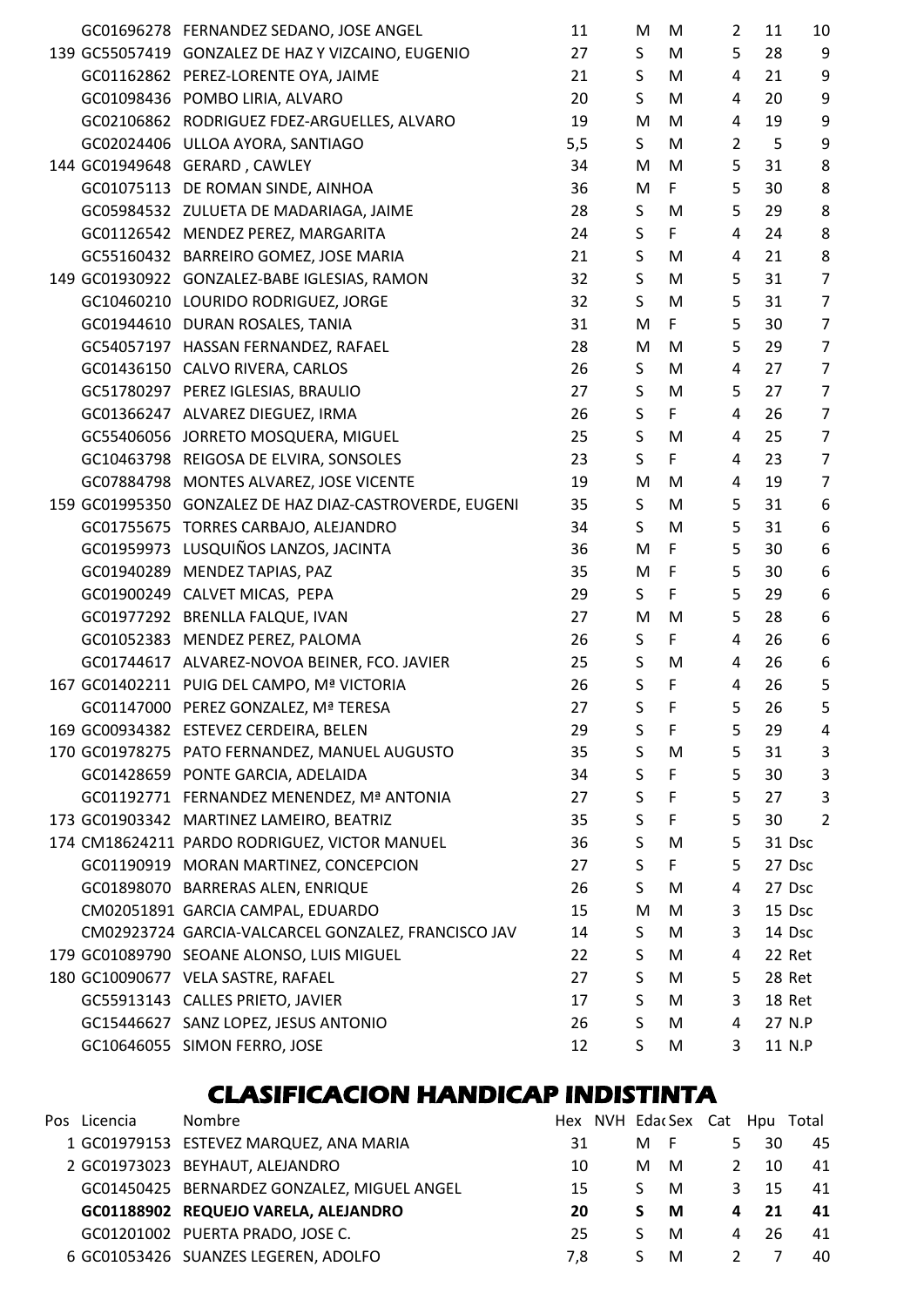|  | GC01696278 FERNANDEZ SEDANO, JOSE ANGEL                 | 11  | M               | M           | 2              | 11     | 10             |
|--|---------------------------------------------------------|-----|-----------------|-------------|----------------|--------|----------------|
|  | 139 GC55057419 GONZALEZ DE HAZ Y VIZCAINO, EUGENIO      | 27  | S.              | M           | 5              | 28     | 9              |
|  | GC01162862 PEREZ-LORENTE OYA, JAIME                     | 21  | S.              | M           | 4              | 21     | 9              |
|  | GC01098436 POMBO LIRIA, ALVARO                          | 20  | S.              | M           | 4              | 20     | 9              |
|  | GC02106862 RODRIGUEZ FDEZ-ARGUELLES, ALVARO             | 19  | M               | M           | 4              | 19     | 9              |
|  | GC02024406 ULLOA AYORA, SANTIAGO                        | 5,5 | S.              | M           | $\overline{2}$ | 5      | 9              |
|  | 144 GC01949648 GERARD, CAWLEY                           | 34  | M               | M           | 5              | 31     | 8              |
|  | GC01075113 DE ROMAN SINDE, AINHOA                       | 36  | M               | F           | 5              | 30     | 8              |
|  | GC05984532 ZULUETA DE MADARIAGA, JAIME                  | 28  | S.              | M           | 5              | 29     | 8              |
|  | GC01126542 MENDEZ PEREZ, MARGARITA                      | 24  | S               | F           | 4              | 24     | 8              |
|  | GC55160432 BARREIRO GOMEZ, JOSE MARIA                   | 21  | S               | M           | 4              | 21     | 8              |
|  | 149 GC01930922 GONZALEZ-BABE IGLESIAS, RAMON            | 32  | S.              | M           | 5              | 31     | $\overline{7}$ |
|  | GC10460210 LOURIDO RODRIGUEZ, JORGE                     | 32  | S.              | M           | 5              | 31     | $\overline{7}$ |
|  | GC01944610 DURAN ROSALES, TANIA                         | 31  | M               | F           | 5              | 30     | $\overline{7}$ |
|  | GC54057197 HASSAN FERNANDEZ, RAFAEL                     | 28  | M               | M           | 5              | 29     | $\overline{7}$ |
|  | GC01436150 CALVO RIVERA, CARLOS                         | 26  | S.              | M           | 4              | 27     | $\overline{7}$ |
|  | GC51780297 PEREZ IGLESIAS, BRAULIO                      | 27  | S               | M           | 5              | 27     | $\overline{7}$ |
|  | GC01366247 ALVAREZ DIEGUEZ, IRMA                        | 26  | S               | F           | 4              | 26     | $\overline{7}$ |
|  | GC55406056 JORRETO MOSQUERA, MIGUEL                     | 25  | S.              | M           | 4              | 25     | $\overline{7}$ |
|  | GC10463798 REIGOSA DE ELVIRA, SONSOLES                  | 23  | S               | F           | 4              | 23     | $\overline{7}$ |
|  |                                                         | 19  | M               | M           | 4              | 19     | $\overline{7}$ |
|  | GC07884798 MONTES ALVAREZ, JOSE VICENTE                 |     | $S_{\parallel}$ |             | 5              |        |                |
|  | 159 GC01995350 GONZALEZ DE HAZ DIAZ-CASTROVERDE, EUGENI | 35  |                 | M           |                | 31     | 6              |
|  | GC01755675 TORRES CARBAJO, ALEJANDRO                    | 34  | $S_{\parallel}$ | M           | 5              | 31     | 6              |
|  | GC01959973 LUSQUIÑOS LANZOS, JACINTA                    | 36  | M               | F           | 5              | 30     | 6              |
|  | GC01940289 MENDEZ TAPIAS, PAZ                           | 35  | M               | F           | 5              | 30     | 6              |
|  | GC01900249 CALVET MICAS, PEPA                           | 29  | S.              | F           | 5              | 29     | 6              |
|  | GC01977292 BRENLLA FALQUE, IVAN                         | 27  | M               | M           | 5              | 28     | 6              |
|  | GC01052383 MENDEZ PEREZ, PALOMA                         | 26  | S.              | F           | $\overline{4}$ | 26     | 6              |
|  | GC01744617 ALVAREZ-NOVOA BEINER, FCO. JAVIER            | 25  | S.              | M           | 4              | 26     | 6              |
|  | 167 GC01402211 PUIG DEL CAMPO, Mª VICTORIA              | 26  | $\mathsf{S}$    | $\mathsf F$ | 4              | 26     | 5              |
|  | GC01147000 PEREZ GONZALEZ, Mª TERESA                    | 27  | S               | F           | 5              | 26     | 5              |
|  | 169 GC00934382 ESTEVEZ CERDEIRA, BELEN                  | 29  | S               | F           | 5              | 29     | 4              |
|  | 170 GC01978275 PATO FERNANDEZ, MANUEL AUGUSTO           | 35  | S               | M           | 5              | 31     | 3              |
|  | GC01428659 PONTE GARCIA, ADELAIDA                       | 34  | S               | F           | 5              | 30     | 3              |
|  | GC01192771 FERNANDEZ MENENDEZ, Mª ANTONIA               | 27  | S.              | F           | 5              | 27     | 3              |
|  | 173 GC01903342 MARTINEZ LAMEIRO, BEATRIZ                | 35  | S               | F           | 5              | 30     | 2              |
|  | 174 CM18624211 PARDO RODRIGUEZ, VICTOR MANUEL           | 36  | S               | M           | 5              | 31 Dsc |                |
|  | GC01190919 MORAN MARTINEZ, CONCEPCION                   | 27  | S               | F           | 5              | 27 Dsc |                |
|  | GC01898070 BARRERAS ALEN, ENRIQUE                       | 26  | S.              | M           | 4              | 27 Dsc |                |
|  | CM02051891 GARCIA CAMPAL, EDUARDO                       | 15  | M               | M           | 3              | 15 Dsc |                |
|  | CM02923724 GARCIA-VALCARCEL GONZALEZ, FRANCISCO JAV     | 14  | S.              | M           | 3              | 14 Dsc |                |
|  | 179 GC01089790 SEOANE ALONSO, LUIS MIGUEL               | 22  | S.              | M           | 4              | 22 Ret |                |
|  | 180 GC10090677 VELA SASTRE, RAFAEL                      | 27  | S               | M           | 5              | 28 Ret |                |
|  | GC55913143 CALLES PRIETO, JAVIER                        | 17  | S               | M           | 3              | 18 Ret |                |
|  | GC15446627 SANZ LOPEZ, JESUS ANTONIO                    | 26  | S               | M           | 4              | 27 N.P |                |
|  | GC10646055 SIMON FERRO, JOSE                            | 12  | S               | M           | 3              | 11 N.P |                |

### **CLASIFICACION HANDICAP INDISTINTA**

| Pos Licencia | <b>Nombre</b>                               |     |    |     |               |    | Hex NVH EdacSex Cat Hpu Total |
|--------------|---------------------------------------------|-----|----|-----|---------------|----|-------------------------------|
|              | 1 GC01979153 ESTEVEZ MARQUEZ, ANA MARIA     | 31  | м  | - F | 5.            | 30 | 45                            |
|              | 2 GC01973023 BEYHAUT, ALEJANDRO             | 10  | м  | M   | $\mathcal{L}$ | 10 | 41                            |
|              | GC01450425 BERNARDEZ GONZALEZ, MIGUEL ANGEL | 15  | S. | M   | 3             | 15 | 41                            |
|              | GC01188902 REQUEJO VARELA, ALEJANDRO        | 20  | S. | M   | 4             | 21 | 41                            |
|              | GC01201002 PUERTA PRADO, JOSE C.            | 25  | S. | M   | 4             | 26 | 41                            |
|              | 6 GC01053426 SUANZES LEGEREN, ADOLFO        | 7.8 | ς  | M   |               |    | 40                            |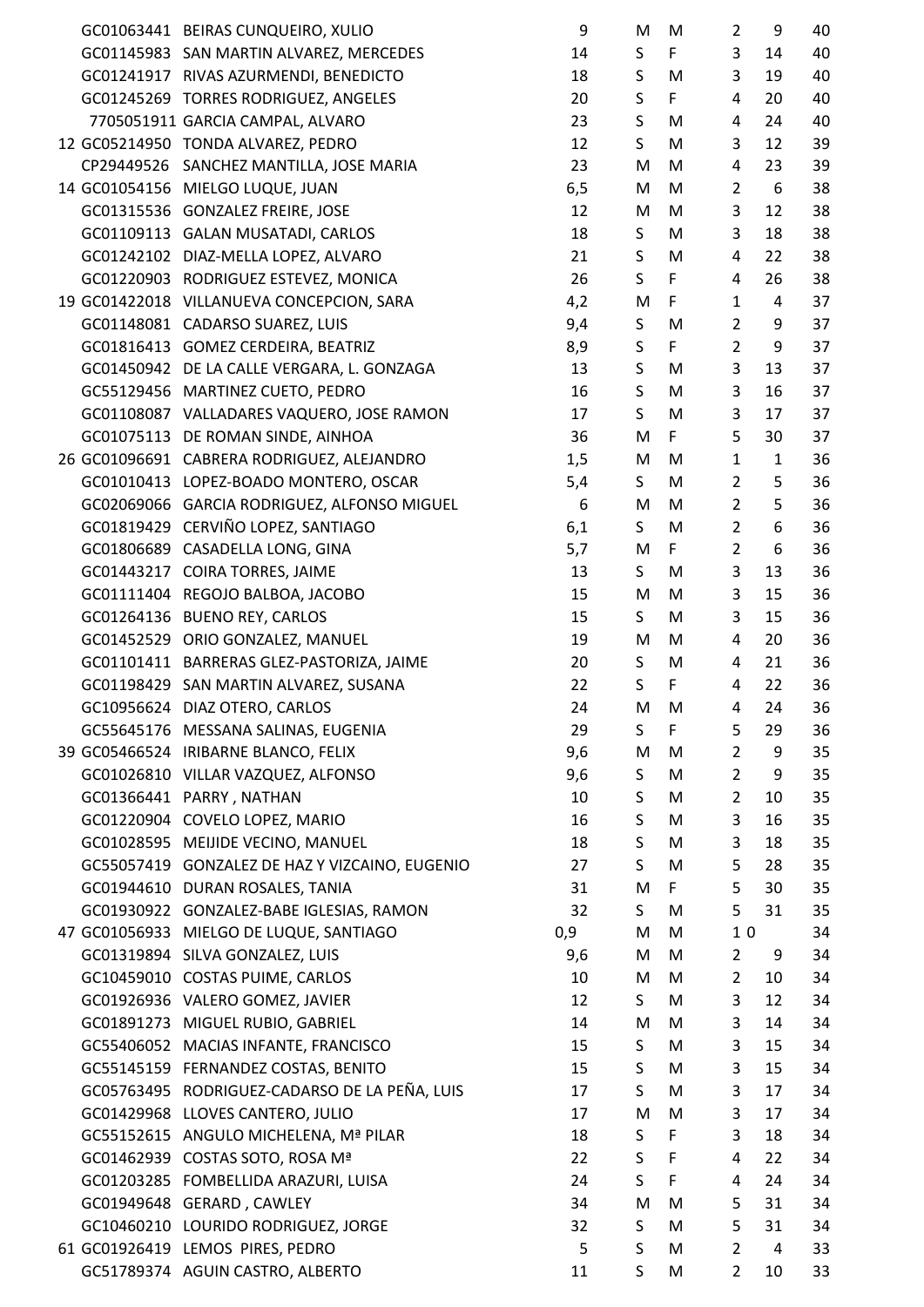|  | GC01063441 BEIRAS CUNQUEIRO, XULIO             | 9        | M           | M      | $\overline{2}$      | 9            | 40 |
|--|------------------------------------------------|----------|-------------|--------|---------------------|--------------|----|
|  | GC01145983 SAN MARTIN ALVAREZ, MERCEDES        | 14       | S           | F      | 3                   | 14           | 40 |
|  | GC01241917 RIVAS AZURMENDI, BENEDICTO          | 18       | S           | M      | 3                   | 19           | 40 |
|  | GC01245269 TORRES RODRIGUEZ, ANGELES           | 20       | $\sf S$     | F      | 4                   | 20           | 40 |
|  | 7705051911 GARCIA CAMPAL, ALVARO               | 23       | S           | M      | 4                   | 24           | 40 |
|  |                                                |          | S           |        | 3                   |              | 39 |
|  | 12 GC05214950 TONDA ALVAREZ, PEDRO             | 12<br>23 |             | M<br>M |                     | 12           | 39 |
|  | CP29449526 SANCHEZ MANTILLA, JOSE MARIA        |          | M           |        | 4<br>$\overline{2}$ | 23<br>6      |    |
|  | 14 GC01054156 MIELGO LUQUE, JUAN               | 6, 5     | M           | M      |                     |              | 38 |
|  | GC01315536 GONZALEZ FREIRE, JOSE               | 12       | M           | M      | 3<br>3              | 12           | 38 |
|  | GC01109113 GALAN MUSATADI, CARLOS              | 18       | S           | M      | 4                   | 18           | 38 |
|  | GC01242102 DIAZ-MELLA LOPEZ, ALVARO            | 21       | $\sf S$     | M      |                     | 22           | 38 |
|  | GC01220903 RODRIGUEZ ESTEVEZ, MONICA           | 26       | S           | F<br>F | 4<br>$\mathbf{1}$   | 26<br>4      | 38 |
|  | 19 GC01422018 VILLANUEVA CONCEPCION, SARA      | 4,2      | M           |        |                     |              | 37 |
|  | GC01148081 CADARSO SUAREZ, LUIS                | 9,4      | S           | M      | $\overline{2}$      | 9            | 37 |
|  | GC01816413 GOMEZ CERDEIRA, BEATRIZ             | 8,9      | $\sf S$     | F      | $\overline{2}$      | 9            | 37 |
|  | GC01450942 DE LA CALLE VERGARA, L. GONZAGA     | 13       | $\sf S$     | M      | 3                   | 13           | 37 |
|  | GC55129456 MARTINEZ CUETO, PEDRO               | 16       | $\mathsf S$ | M      | 3                   | 16           | 37 |
|  | GC01108087 VALLADARES VAQUERO, JOSE RAMON      | 17       | S           | M      | 3                   | 17           | 37 |
|  | GC01075113 DE ROMAN SINDE, AINHOA              | 36       | M           | F      | 5                   | 30           | 37 |
|  | 26 GC01096691 CABRERA RODRIGUEZ, ALEJANDRO     | 1,5      | M           | M      | $\mathbf{1}$        | $\mathbf{1}$ | 36 |
|  | GC01010413 LOPEZ-BOADO MONTERO, OSCAR          | 5,4      | S           | M      | $\overline{2}$      | 5            | 36 |
|  | GC02069066 GARCIA RODRIGUEZ, ALFONSO MIGUEL    | 6        | M           | M      | $\overline{2}$      | 5            | 36 |
|  | GC01819429 CERVIÑO LOPEZ, SANTIAGO             | 6,1      | S.          | M      | $\overline{2}$      | 6            | 36 |
|  | GC01806689 CASADELLA LONG, GINA                | 5,7      | M           | F      | $\overline{2}$      | 6            | 36 |
|  | GC01443217 COIRA TORRES, JAIME                 | 13       | S           | M      | 3                   | 13           | 36 |
|  | GC01111404 REGOJO BALBOA, JACOBO               | 15       | M           | M      | 3                   | 15           | 36 |
|  | GC01264136 BUENO REY, CARLOS                   | 15       | S.          | M      | 3                   | 15           | 36 |
|  | GC01452529 ORIO GONZALEZ, MANUEL               | 19       | M           | M      | 4                   | 20           | 36 |
|  | GC01101411 BARRERAS GLEZ-PASTORIZA, JAIME      | 20       | S           | M      | 4                   | 21           | 36 |
|  | GC01198429 SAN MARTIN ALVAREZ, SUSANA          | 22       | S           | F      | 4                   | 22           | 36 |
|  | GC10956624 DIAZ OTERO, CARLOS                  | 24       | M           | M      | 4                   | 24           | 36 |
|  | GC55645176 MESSANA SALINAS, EUGENIA            | 29       | S           | F      | 5                   | 29           | 36 |
|  | 39 GC05466524 IRIBARNE BLANCO, FELIX           | 9,6      | M           | M      | $\overline{2}$      | 9            | 35 |
|  | GC01026810 VILLAR VAZQUEZ, ALFONSO             | 9,6      | S           | M      | $\overline{2}$      | 9            | 35 |
|  | GC01366441 PARRY, NATHAN                       | 10       | S           | M      | $\overline{2}$      | 10           | 35 |
|  | GC01220904 COVELO LOPEZ, MARIO                 | 16       | S           | M      | 3                   | 16           | 35 |
|  | GC01028595 MEIJIDE VECINO, MANUEL              | 18       | S           | M      | 3                   | 18           | 35 |
|  | GC55057419 GONZALEZ DE HAZ Y VIZCAINO, EUGENIO | 27       | S           | M      | 5                   | 28           | 35 |
|  | GC01944610 DURAN ROSALES, TANIA                | 31       | M           | F      | 5                   | 30           | 35 |
|  | GC01930922 GONZALEZ-BABE IGLESIAS, RAMON       | 32       | S.          | M      | 5                   | 31           | 35 |
|  | 47 GC01056933 MIELGO DE LUQUE, SANTIAGO        | 0,9      | M           | M      | 10                  |              | 34 |
|  | GC01319894 SILVA GONZALEZ, LUIS                | 9,6      | M           | M      | $\overline{2}$      | 9            | 34 |
|  | GC10459010 COSTAS PUIME, CARLOS                | 10       | M           | M      | $\overline{2}$      | 10           | 34 |
|  | GC01926936 VALERO GOMEZ, JAVIER                | 12       | S           | M      | 3                   | 12           | 34 |
|  | GC01891273 MIGUEL RUBIO, GABRIEL               | 14       | M           | M      | 3                   | 14           | 34 |
|  | GC55406052 MACIAS INFANTE, FRANCISCO           | 15       | S           | M      | 3                   | 15           | 34 |
|  | GC55145159 FERNANDEZ COSTAS, BENITO            | 15       | S           | M      | 3                   | 15           | 34 |
|  | GC05763495 RODRIGUEZ-CADARSO DE LA PEÑA, LUIS  | 17       | S           | M      | 3                   | 17           | 34 |
|  | GC01429968 LLOVES CANTERO, JULIO               | 17       | M           | M      | 3                   | 17           | 34 |
|  | GC55152615 ANGULO MICHELENA, Mª PILAR          | 18       | S           | F      | 3                   | 18           | 34 |
|  | GC01462939 COSTAS SOTO, ROSA Mª                | 22       | $\sf S$     | F      | 4                   | 22           | 34 |
|  | GC01203285 FOMBELLIDA ARAZURI, LUISA           | 24       | S           | F      | 4                   | 24           | 34 |
|  | GC01949648 GERARD, CAWLEY                      | 34       | M           | M      | 5                   | 31           | 34 |
|  | GC10460210 LOURIDO RODRIGUEZ, JORGE            | 32       | S           | M      | 5                   | 31           | 34 |
|  | 61 GC01926419 LEMOS PIRES, PEDRO               | 5        | S           | M      | $\overline{2}$      | 4            | 33 |
|  | GC51789374 AGUIN CASTRO, ALBERTO               | 11       | S           | M      | $\overline{2}$      | 10           | 33 |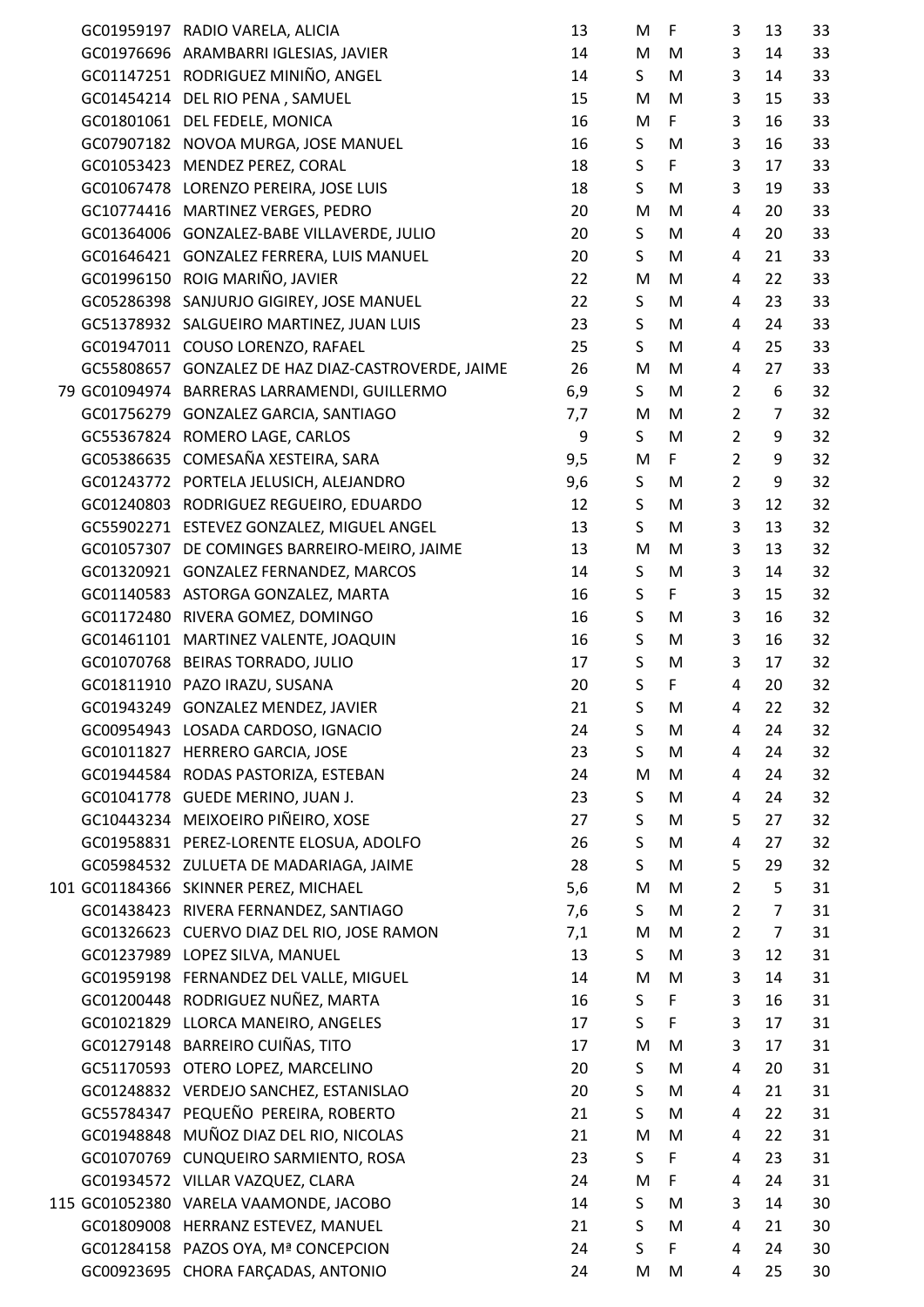|  | GC01959197 RADIO VARELA, ALICIA                    | 13  | M           | $\mathsf{F}$ | 3              | 13             | 33 |
|--|----------------------------------------------------|-----|-------------|--------------|----------------|----------------|----|
|  | GC01976696 ARAMBARRI IGLESIAS, JAVIER              | 14  | M           | M            | 3              | 14             | 33 |
|  | GC01147251 RODRIGUEZ MINIÑO, ANGEL                 | 14  | S           | M            | 3              | 14             | 33 |
|  | GC01454214 DEL RIO PENA, SAMUEL                    | 15  | M           | M            | 3              | 15             | 33 |
|  | GC01801061 DEL FEDELE, MONICA                      | 16  | M           | F.           | 3              | 16             | 33 |
|  | GC07907182 NOVOA MURGA, JOSE MANUEL                | 16  | S           | M            | 3              | 16             | 33 |
|  | GC01053423 MENDEZ PEREZ, CORAL                     | 18  | $\sf S$     | F            | 3              | 17             | 33 |
|  | GC01067478 LORENZO PEREIRA, JOSE LUIS              | 18  | S           | M            | 3              | 19             | 33 |
|  | GC10774416 MARTINEZ VERGES, PEDRO                  | 20  | M           | M            | 4              | 20             | 33 |
|  | GC01364006 GONZALEZ-BABE VILLAVERDE, JULIO         | 20  | S           | M            | 4              | 20             | 33 |
|  | GC01646421 GONZALEZ FERRERA, LUIS MANUEL           | 20  | S           | M            | 4              | 21             | 33 |
|  | GC01996150 ROIG MARIÑO, JAVIER                     | 22  | M           | M            | 4              | 22             | 33 |
|  | GC05286398 SANJURJO GIGIREY, JOSE MANUEL           | 22  | S           | M            | 4              | 23             | 33 |
|  | GC51378932 SALGUEIRO MARTINEZ, JUAN LUIS           | 23  | S           | M            | 4              | 24             | 33 |
|  | GC01947011 COUSO LORENZO, RAFAEL                   | 25  | S           | M            | 4              | 25             | 33 |
|  | GC55808657 GONZALEZ DE HAZ DIAZ-CASTROVERDE, JAIME | 26  | M           | M            | 4              | 27             | 33 |
|  | 79 GC01094974 BARRERAS LARRAMENDI, GUILLERMO       | 6,9 | S           | M            | $\overline{2}$ | 6              | 32 |
|  | GC01756279 GONZALEZ GARCIA, SANTIAGO               | 7,7 | M           | M            | $\overline{2}$ | $\overline{7}$ | 32 |
|  | GC55367824 ROMERO LAGE, CARLOS                     | 9   | S           | M            | $\overline{2}$ | 9              | 32 |
|  | GC05386635 COMESAÑA XESTEIRA, SARA                 | 9,5 | M           | F            | $\overline{2}$ | 9              | 32 |
|  |                                                    |     |             |              | $\overline{2}$ | 9              |    |
|  | GC01243772 PORTELA JELUSICH, ALEJANDRO             | 9,6 | S           | M            |                |                | 32 |
|  | GC01240803 RODRIGUEZ REGUEIRO, EDUARDO             | 12  | S           | M            | 3              | 12             | 32 |
|  | GC55902271 ESTEVEZ GONZALEZ, MIGUEL ANGEL          | 13  | S           | M            | 3              | 13             | 32 |
|  | GC01057307 DE COMINGES BARREIRO-MEIRO, JAIME       | 13  | M           | M            | 3              | 13             | 32 |
|  | GC01320921 GONZALEZ FERNANDEZ, MARCOS              | 14  | S           | M            | 3              | 14             | 32 |
|  | GC01140583 ASTORGA GONZALEZ, MARTA                 | 16  | $\sf S$     | F            | 3              | 15             | 32 |
|  | GC01172480 RIVERA GOMEZ, DOMINGO                   | 16  | S           | M            | 3              | 16             | 32 |
|  | GC01461101 MARTINEZ VALENTE, JOAQUIN               | 16  | $\sf S$     | M            | 3              | 16             | 32 |
|  | GC01070768 BEIRAS TORRADO, JULIO                   | 17  | $\mathsf S$ | M            | 3              | 17             | 32 |
|  | GC01811910 PAZO IRAZU, SUSANA                      | 20  | $\sf S$     | F            | $\overline{4}$ | 20             | 32 |
|  | GC01943249 GONZALEZ MENDEZ, JAVIER                 | 21  | $\sf S$     | M            | 4              | 22             | 32 |
|  | GC00954943 LOSADA CARDOSO, IGNACIO                 | 24  | S           | M            | 4              | 24             | 32 |
|  | GC01011827 HERRERO GARCIA, JOSE                    | 23  | S           | M            | 4              | 24             | 32 |
|  | GC01944584 RODAS PASTORIZA, ESTEBAN                | 24  | M           | M            | 4              | 24             | 32 |
|  | GC01041778 GUEDE MERINO, JUAN J.                   | 23  | S           | M            | 4              | 24             | 32 |
|  | GC10443234 MEIXOEIRO PIÑEIRO, XOSE                 | 27  | S           | M            | 5              | 27             | 32 |
|  | GC01958831 PEREZ-LORENTE ELOSUA, ADOLFO            | 26  | $\sf S$     | M            | 4              | 27             | 32 |
|  | GC05984532 ZULUETA DE MADARIAGA, JAIME             | 28  | $\sf S$     | M            | 5              | 29             | 32 |
|  | 101 GC01184366 SKINNER PEREZ, MICHAEL              | 5,6 | M           | M            | $\overline{2}$ | 5              | 31 |
|  | GC01438423 RIVERA FERNANDEZ, SANTIAGO              | 7,6 | S           | M            | $\overline{2}$ | $\overline{7}$ | 31 |
|  | GC01326623 CUERVO DIAZ DEL RIO, JOSE RAMON         | 7,1 | M           | M            | $\overline{2}$ | $\overline{7}$ | 31 |
|  | GC01237989 LOPEZ SILVA, MANUEL                     | 13  | S           | M            | 3              | 12             | 31 |
|  | GC01959198 FERNANDEZ DEL VALLE, MIGUEL             | 14  | M           | M            | 3              | 14             | 31 |
|  | GC01200448 RODRIGUEZ NUÑEZ, MARTA                  | 16  | $\sf S$     | F            | 3              | 16             | 31 |
|  | GC01021829 LLORCA MANEIRO, ANGELES                 | 17  | S           | F            | 3              | 17             | 31 |
|  | GC01279148 BARREIRO CUIÑAS, TITO                   | 17  | M           | M            | 3              | 17             | 31 |
|  | GC51170593 OTERO LOPEZ, MARCELINO                  | 20  | S           | M            | 4              | 20             | 31 |
|  | GC01248832 VERDEJO SANCHEZ, ESTANISLAO             | 20  | $\sf S$     | M            | 4              | 21             | 31 |
|  | GC55784347 PEQUEÑO PEREIRA, ROBERTO                | 21  | $\sf S$     | M            | 4              | 22             | 31 |
|  | GC01948848 MUÑOZ DIAZ DEL RIO, NICOLAS             | 21  | M           | M            | 4              | 22             | 31 |
|  | GC01070769 CUNQUEIRO SARMIENTO, ROSA               | 23  | S           | F            | 4              | 23             | 31 |
|  | GC01934572 VILLAR VAZQUEZ, CLARA                   | 24  | M           | $\mathsf F$  | 4              | 24             | 31 |
|  | 115 GC01052380 VARELA VAAMONDE, JACOBO             | 14  | S           | M            | 3              | 14             | 30 |
|  | GC01809008 HERRANZ ESTEVEZ, MANUEL                 | 21  | $\sf S$     | M            | 4              | 21             | 30 |
|  | GC01284158 PAZOS OYA, Mª CONCEPCION                | 24  | $\sf S$     | F            | 4              | 24             | 30 |
|  | GC00923695 CHORA FARÇADAS, ANTONIO                 | 24  | M           | M            | 4              | 25             | 30 |
|  |                                                    |     |             |              |                |                |    |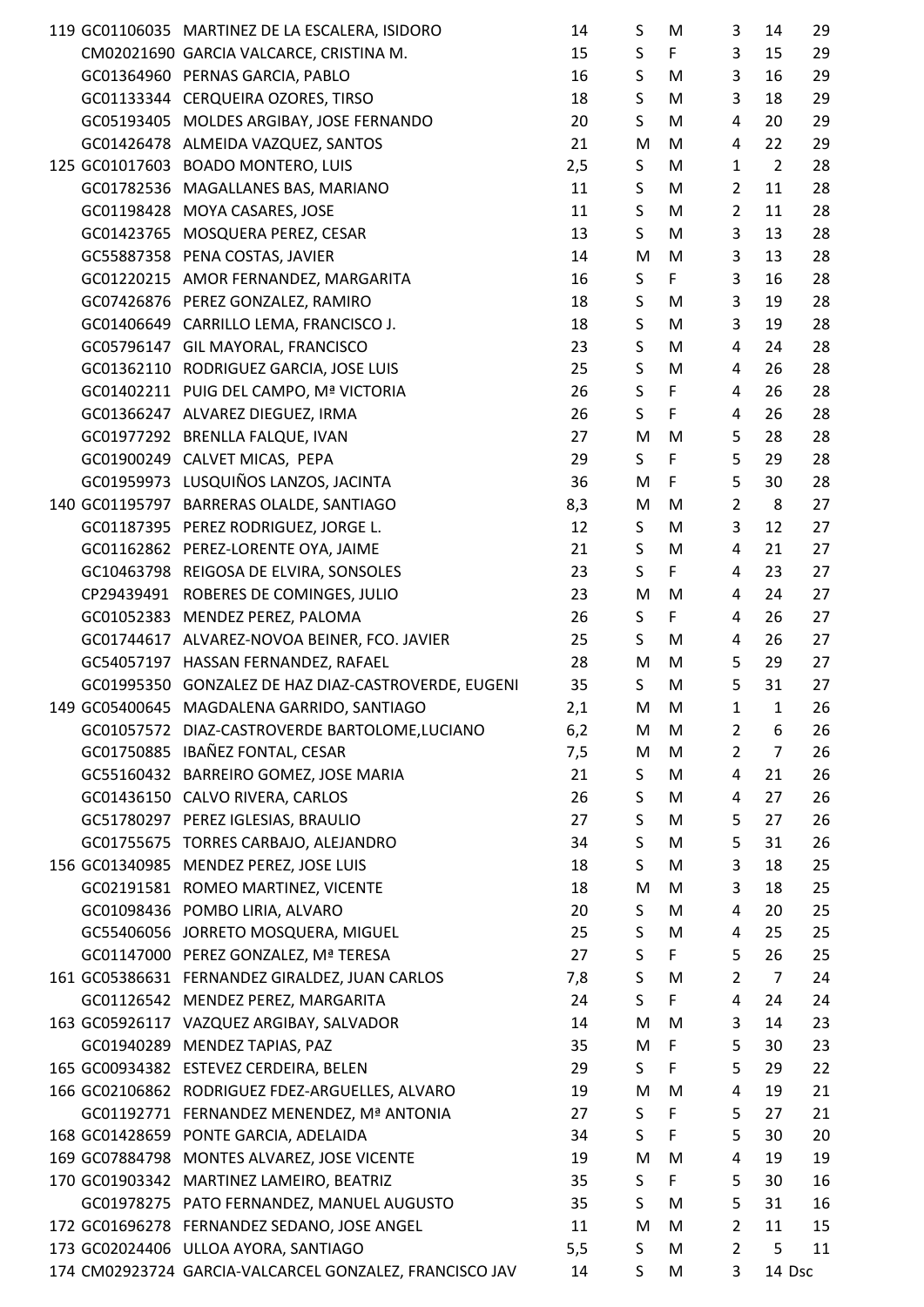|  | 119 GC01106035 MARTINEZ DE LA ESCALERA, ISIDORO         | 14       | S            | M           | 3              | 14             | 29     |
|--|---------------------------------------------------------|----------|--------------|-------------|----------------|----------------|--------|
|  | CM02021690 GARCIA VALCARCE, CRISTINA M.                 | 15       | S            | F           | 3              | 15             | 29     |
|  | GC01364960 PERNAS GARCIA, PABLO                         | 16       | S            | M           | 3              | 16             | 29     |
|  | GC01133344 CERQUEIRA OZORES, TIRSO                      | 18       | $\sf S$      | M           | 3              | 18             | 29     |
|  | GC05193405 MOLDES ARGIBAY, JOSE FERNANDO                | 20       | S            | M           | $\overline{4}$ | 20             | 29     |
|  | GC01426478 ALMEIDA VAZQUEZ, SANTOS                      | 21       | M            | M           | $\overline{4}$ | 22             | 29     |
|  | 125 GC01017603 BOADO MONTERO, LUIS                      | 2,5      | S            | M           | $\mathbf{1}$   | $\overline{2}$ | 28     |
|  | GC01782536 MAGALLANES BAS, MARIANO                      | 11       | S            | M           | $\overline{2}$ | 11             | 28     |
|  | GC01198428 MOYA CASARES, JOSE                           | 11       | $\mathsf{S}$ | M           | $\overline{2}$ | 11             | 28     |
|  | GC01423765 MOSQUERA PEREZ, CESAR                        | 13       | S            | M           | 3              | 13             | 28     |
|  | GC55887358 PENA COSTAS, JAVIER                          | 14       | ${\sf M}$    | M           | 3              | 13             | 28     |
|  | GC01220215 AMOR FERNANDEZ, MARGARITA                    | 16       | $\sf S$      | F           | $\overline{3}$ | 16             | 28     |
|  | GC07426876 PEREZ GONZALEZ, RAMIRO                       | 18       | S            | M           | 3              | 19             | 28     |
|  | GC01406649 CARRILLO LEMA, FRANCISCO J.                  | 18       | S            | M           | $\mathbf{3}$   | 19             | 28     |
|  | GC05796147 GIL MAYORAL, FRANCISCO                       | 23       | S            | M           | 4              | 24             | 28     |
|  | GC01362110 RODRIGUEZ GARCIA, JOSE LUIS                  | 25       | $\sf S$      | M           | 4              | 26             | 28     |
|  | GC01402211 PUIG DEL CAMPO, Mª VICTORIA                  | 26       | $\sf S$      | $\mathsf F$ | $\overline{4}$ | 26             | 28     |
|  | GC01366247 ALVAREZ DIEGUEZ, IRMA                        | 26       | S            | $\mathsf F$ | 4              | 26             | 28     |
|  | GC01977292 BRENLLA FALQUE, IVAN                         | 27       | ${\sf M}$    | ${\sf M}$   | 5              | 28             | 28     |
|  | GC01900249 CALVET MICAS, PEPA                           | 29       | $\mathsf{S}$ | F           | 5              | 29             | 28     |
|  | GC01959973 LUSQUIÑOS LANZOS, JACINTA                    | 36       | M            | F           | 5              | 30             | 28     |
|  | 140 GC01195797 BARRERAS OLALDE, SANTIAGO                | 8,3      | M            | M           | $\overline{2}$ | 8              | 27     |
|  | GC01187395 PEREZ RODRIGUEZ, JORGE L.                    | 12       | S            | M           | 3              | 12             | 27     |
|  | GC01162862 PEREZ-LORENTE OYA, JAIME                     | 21       | S            | M           | $\overline{4}$ | 21             | 27     |
|  | GC10463798 REIGOSA DE ELVIRA, SONSOLES                  | 23       | S            | F           | 4              | 23             | 27     |
|  | CP29439491 ROBERES DE COMINGES, JULIO                   | 23       | M            | M           | $\overline{4}$ | 24             | 27     |
|  |                                                         |          | S            | F           | 4              | 26             | 27     |
|  | GC01052383 MENDEZ PEREZ, PALOMA                         | 26<br>25 | S            |             | $\overline{4}$ | 26             | 27     |
|  | GC01744617 ALVAREZ-NOVOA BEINER, FCO. JAVIER            |          |              | M           |                |                |        |
|  | GC54057197 HASSAN FERNANDEZ, RAFAEL                     | 28       | M            | M           | 5              | 29             | 27     |
|  | GC01995350 GONZALEZ DE HAZ DIAZ-CASTROVERDE, EUGENI     | 35       | S            | M           | 5              | 31             | 27     |
|  | 149 GC05400645 MAGDALENA GARRIDO, SANTIAGO              | 2,1      | M            | M           | 1              | $\mathbf{1}$   | 26     |
|  | GC01057572 DIAZ-CASTROVERDE BARTOLOME,LUCIANO           | 6,2      | M            | M           | $\overline{2}$ | 6              | 26     |
|  | GC01750885 IBAÑEZ FONTAL, CESAR                         | 7,5      | M            | M           | $\overline{2}$ | $\overline{7}$ | 26     |
|  | GC55160432 BARREIRO GOMEZ, JOSE MARIA                   | 21       | S            | M           | 4              | 21             | 26     |
|  | GC01436150 CALVO RIVERA, CARLOS                         | 26       | S            | M           | 4              | 27             | 26     |
|  | GC51780297 PEREZ IGLESIAS, BRAULIO                      | 27       | S            | M           | 5              | 27             | 26     |
|  | GC01755675 TORRES CARBAJO, ALEJANDRO                    | 34       | S            | M           | 5              | 31             | 26     |
|  | 156 GC01340985 MENDEZ PEREZ, JOSE LUIS                  | 18       | S            | M           | 3              | 18             | 25     |
|  | GC02191581 ROMEO MARTINEZ, VICENTE                      | 18       | M            | M           | 3              | 18             | 25     |
|  | GC01098436 POMBO LIRIA, ALVARO                          | 20       | S            | M           | 4              | 20             | 25     |
|  | GC55406056 JORRETO MOSQUERA, MIGUEL                     | 25       | S            | M           | 4              | 25             | 25     |
|  | GC01147000 PEREZ GONZALEZ, Mª TERESA                    | 27       | S            | F           | 5              | 26             | 25     |
|  | 161 GC05386631 FERNANDEZ GIRALDEZ, JUAN CARLOS          | 7,8      | S            | M           | $\overline{2}$ | $\overline{7}$ | 24     |
|  | GC01126542 MENDEZ PEREZ, MARGARITA                      | 24       | S            | F           | 4              | 24             | 24     |
|  | 163 GC05926117 VAZQUEZ ARGIBAY, SALVADOR                | 14       | M            | M           | 3              | 14             | 23     |
|  | GC01940289 MENDEZ TAPIAS, PAZ                           | 35       | M            | F           | 5              | 30             | 23     |
|  | 165 GC00934382 ESTEVEZ CERDEIRA, BELEN                  | 29       | S            | F           | 5              | 29             | 22     |
|  | 166 GC02106862 RODRIGUEZ FDEZ-ARGUELLES, ALVARO         | 19       | M            | M           | 4              | 19             | 21     |
|  | GC01192771 FERNANDEZ MENENDEZ, Mª ANTONIA               | 27       | S            | F           | 5              | 27             | 21     |
|  | 168 GC01428659 PONTE GARCIA, ADELAIDA                   | 34       | S            | F           | 5              | 30             | 20     |
|  | 169 GC07884798 MONTES ALVAREZ, JOSE VICENTE             | 19       | M            | M           | 4              | 19             | 19     |
|  | 170 GC01903342 MARTINEZ LAMEIRO, BEATRIZ                | 35       | S            | F           | 5              | 30             | 16     |
|  | GC01978275 PATO FERNANDEZ, MANUEL AUGUSTO               | 35       | S            | M           | 5              | 31             | 16     |
|  | 172 GC01696278 FERNANDEZ SEDANO, JOSE ANGEL             | 11       | M            | M           | $\overline{2}$ | 11             | 15     |
|  | 173 GC02024406 ULLOA AYORA, SANTIAGO                    | 5,5      | S            | M           | $\overline{2}$ | 5              | 11     |
|  | 174 CM02923724 GARCIA-VALCARCEL GONZALEZ, FRANCISCO JAV | 14       | S            | M           | 3              |                | 14 Dsc |